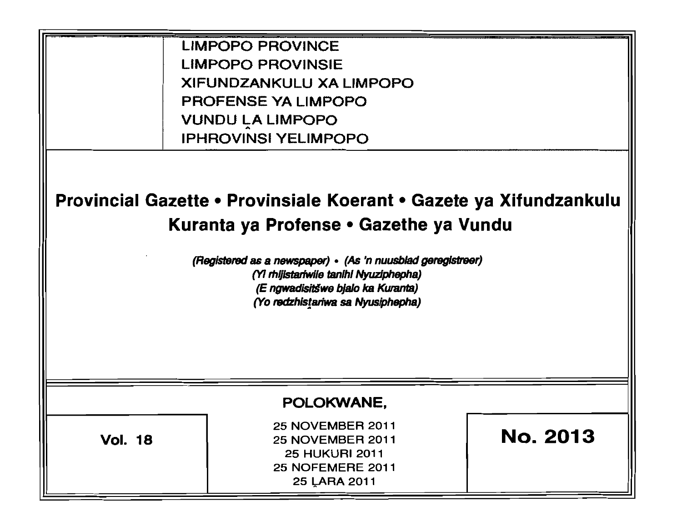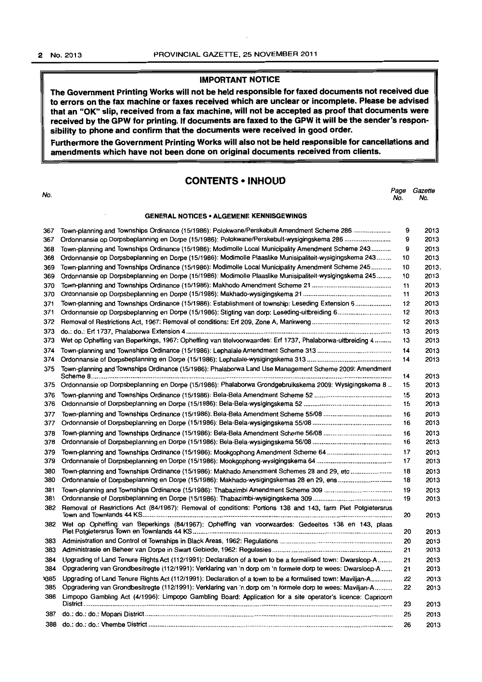# IMPORTANT NOTICE

The Government Printing Works will not be held responsible for faxed documents not received due to errors on the fax machine or faxes received which are unclear or incomplete. Please be advised that an "OK" slip. received from a fax machine, will not be accepted as proof that documents were received by the GPW for printing. If documents are faxed to the GPW it will be the sender's responsibility to phone and confirm that the documents were received in good order.

Furthermore the Government Printing Works will also not be held responsible for cancellations and amendments which have not been done on original documents received from clients.

# **CONTENTS • INHOUD**

| No.        |                                                                                                                                                                                      | Page<br>No. | Gazette<br>No. |
|------------|--------------------------------------------------------------------------------------------------------------------------------------------------------------------------------------|-------------|----------------|
|            | <b>GENERAL NOTICES • ALGEMENE KENNISGEWINGS</b>                                                                                                                                      |             |                |
| 367        | Town-planning and Townships Ordinance (15/1986): Polokwane/Perskebult Amendment Scheme 286                                                                                           | 9           | 2013           |
| 367        | Ordonnansie op Dorpsbeplanning en Dorpe (15/1986): Polokwane/Perskebult-wysigingskema 286                                                                                            | 9           | 2013           |
| 368        | Town-planning and Townships Ordinance (15/1986): Modimolle Local Municipality Amendment Scheme 243                                                                                   | 9           | 2013           |
| 368        | Ordonnansie op Dorpsbeplanning en Dorpe (15/1986): Modimolle Plaaslike Munisipaliteit-wysigingskema 243                                                                              | 10          | 2013           |
| 369        | Town-planning and Townships Ordinance (15/1986): Modimolle Local Municipality Amendment Scheme 245                                                                                   | 10          | 2013.          |
| 369        | Ordonnansie op Dorpsbeplanning en Dorpe (15/1986): Modimolle Plaaslike Munisipaliteit-wysigingskema 245                                                                              | 10          | 2013           |
| 370        |                                                                                                                                                                                      | 11          | 2013           |
| 370<br>371 | Town-planning and Townships Ordinance (15/1986): Establishment of township: Leseding Extension 6                                                                                     | 11<br>12    | 2013<br>2013   |
| 371        | Ordonnansie op Dorpsbeplanning en Dorpe (15/1986): Stigting van dorp: Leseding-uitbreiding 6                                                                                         | 12          | 2013           |
| 372        |                                                                                                                                                                                      | 12          | 2013           |
| 373        |                                                                                                                                                                                      | 13          | 2013           |
| 373        | Wet op Opheffing van Beperkings, 1967: Opheffing van titelvoorwaardes: Erf 1737, Phalaborwa-uitbreiding 4                                                                            | 13          | 2013           |
| 374        |                                                                                                                                                                                      | 14          | 2013           |
| 374        |                                                                                                                                                                                      | 14          | 2013           |
| 375        | Town-planning and Townships Ordinance (15/1986): Phalaborwa Land Use Management Scheme 2009: Amendment                                                                               |             |                |
|            |                                                                                                                                                                                      | 14          | 2013           |
| 375        | Ordonnansie op Dorpsbeplanning en Dorpe (15/1986): Phalaborwa Grondgebruikskema 2009: Wysigingskema 8                                                                                | 15          | 2013           |
| 376        |                                                                                                                                                                                      | 15          | 2013           |
| 376        |                                                                                                                                                                                      | 15          | 2013           |
| 377        |                                                                                                                                                                                      | 16          | 2013           |
| 377        |                                                                                                                                                                                      | 16          | 2013           |
| 378        |                                                                                                                                                                                      | 16          | 2013           |
| 378        |                                                                                                                                                                                      | 16          | 2013           |
| 379<br>379 | Town-planning and Townships Ordinance (15/1986): Mookgophong Amendment Scheme 64                                                                                                     | 17<br>17    | 2013<br>2013   |
|            |                                                                                                                                                                                      |             |                |
| 380<br>380 | Town-planning and Townships Ordinance (15/1986): Makhado Amendment Schemes 28 and 29, etc<br>Ordonnansie of Dorpsbeplanning en Dorpe (15/1986): Makhado-wysigingskemas 28 en 29, ens | 18<br>18    | 2013<br>2013   |
| 381        |                                                                                                                                                                                      | 19          | 2013           |
| 381        |                                                                                                                                                                                      | 19          | 2013           |
| 382        | Removal of Restrictions Act (84/1967): Removal of conditions: Portions 138 and 143, farm Piet Potgietersrus                                                                          | 20          | 2013           |
| 382        | Wet op Opheffing van Beperkings (84/1967): Opheffing van voorwaardes: Gedeeltes 138 en 143, plaas                                                                                    | 20          | 2013           |
| 383        |                                                                                                                                                                                      | 20          | 2013           |
|            |                                                                                                                                                                                      | 21          | 2013           |
| 384        | Upgrading of Land Tenure Rights Act (112/1991): Declaration of a town to be a formalised town: Dwarsloop-A                                                                           | 21          | 2013           |
| 384        | Opgradering van Grondbesitregte (112/1991): Verklaring van 'n dorp om 'n formele dorp te wees: Dwarsloop-A                                                                           | 21          | 2013           |
| પ્385      | Upgrading of Land Tenure Rights Act (112/1991): Declaration of a town to be a formalised town: Maviljan-A                                                                            | 22          | 2013           |
| 385        | Opgradering van Grondbesitregte (112/1991): Verklaring van 'n dorp om 'n formele dorp te wees: Maviljan-A                                                                            | 22          | 2013           |
| 386        | Limpopo Gambling Act (4/1996): Limpopo Gambling Board: Application for a site operator's licence: Capricorn                                                                          |             |                |
|            |                                                                                                                                                                                      | 23          | 2013           |
| 387        |                                                                                                                                                                                      | 25          | 2013           |

388 do.: do.: do.: Vhembe District ............................. , ........................................................................................................ .. 26 2013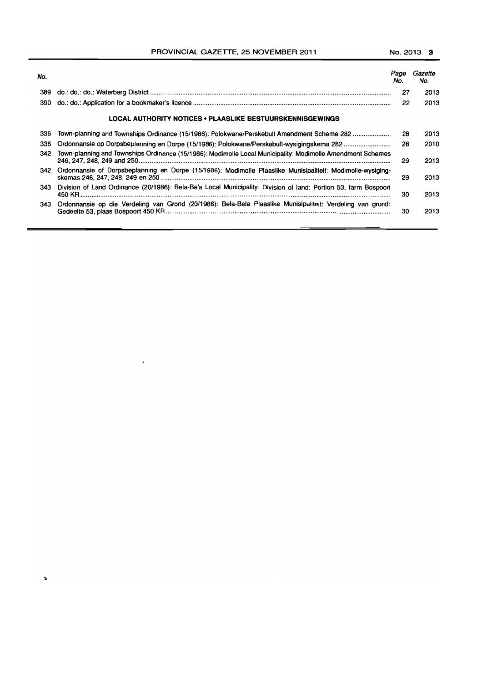PROVINCIAL GAZETTE, 25 NOVEMBER 2011 No. 2013 3

| No. |                                                                                                                 | rage<br>No. | Gazette<br>No. |
|-----|-----------------------------------------------------------------------------------------------------------------|-------------|----------------|
| 389 |                                                                                                                 | 27          | 2013           |
| 390 |                                                                                                                 | 22          | 2013           |
|     | <b>LOCAL AUTHORITY NOTICES • PLAASLIKE BESTUURSKENNISGEWINGS</b>                                                |             |                |
| 336 | Town-planning and Townships Ordinance (15/1986): Polokwane/Perskebult Amendment Scheme 282                      | 28          | 2013           |
| 336 | Ordonnansie op Dorpsbeplanning en Dorpe (15/1986): Polokwane/Perskebult-wysigingskema 282                       | 28          | 2010           |
| 342 | Town-planning and Townships Ordinance (15/1986): Modimolle Local Municipality: Modimolle Amendment Schemes      | 29          | 2013           |
| 342 | Ordonnansie of Dorpsbeplanning en Dorpe (15/1986): Modimolle Plaaslike Munisipaliteit: Modimolle-wysiging-      | 29          | 2013           |
| 343 | Division of Land Ordinance (20/1986): Bela-Bela Local Municipality: Division of land: Portion 53, farm Bospoort | 30          | 2013           |
| 343 | Ordonnansie op die Verdeling van Grond (20/1986): Bela-Bela Plaaslike Munisipaliteit: Verdeling van grond:      | 30          | 2013           |

 $\ddot{\phantom{0}}$ 

×.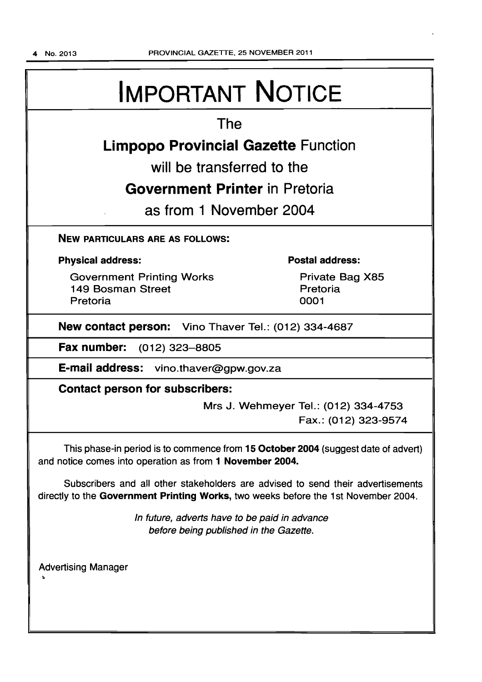# IMPORTANT NOTICE

# The

# **Limpopo Provincial Gazette** Function

will be transferred to the

# **Government Printer** in Pretoria

as from 1 November 2004

# NEW PARTICULARS ARE AS FOLLOWS:

# Physical address:

Government Printing Works 149 Bosman Street Pretoria

# Postal address:

Private Bag X85 Pretoria 0001

# New contact person: Vino Thaver Tel.: (012) 334-4687

Fax number: (012) 323-8805

E-mail address: vino.thaver@gpw.gov.za

# Contact person for subscribers:

Mrs J. Wehmeyer Tel.: (012) 334-4753 Fax.: (012) 323-9574

This phase-in period is to commence from 15 October 2004 (suggest date of advert) and notice comes into operation as from 1 November 2004.

Subscribers and all other stakeholders are advised to send their advertisements directly to the Government Printing Works, two weeks before the 1 st November 2004.

> In future, adverts have to be paid in advance before being published in the Gazette.

Advertising Manager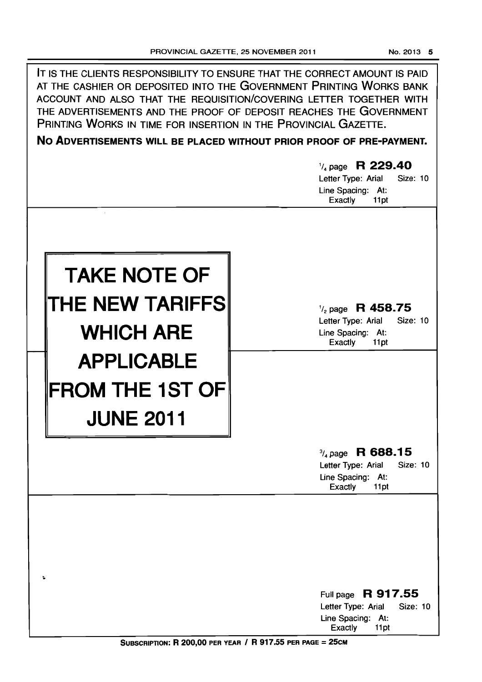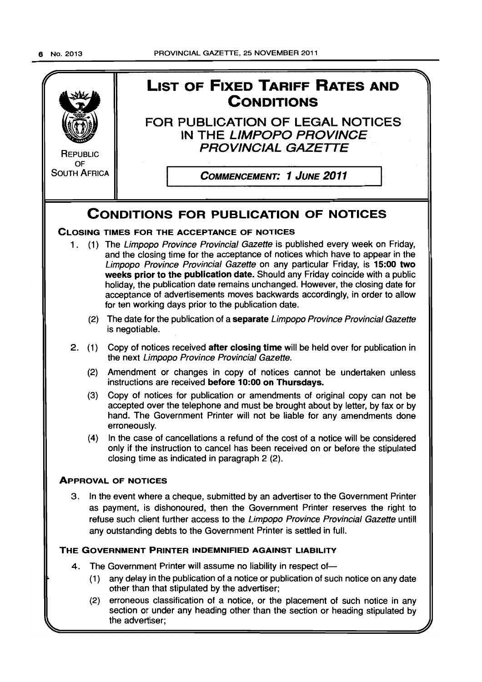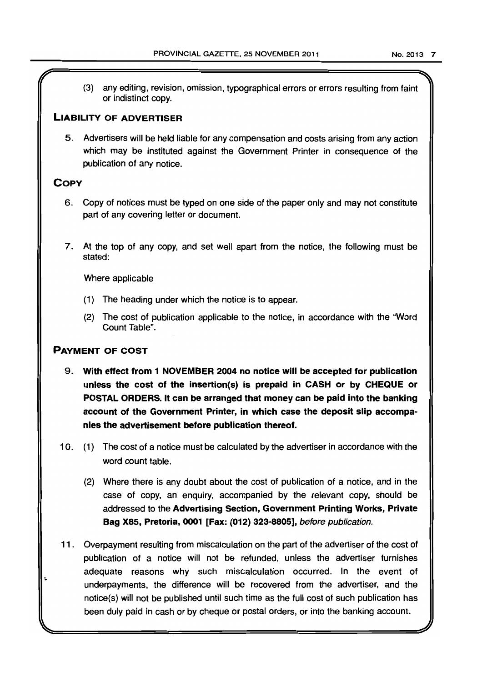(3) any editing, revision, omission, typographical errors or errors resulting from faint or indistinct copy.

# LIABILITY OF ADVERTISER

5. Advertisers will be held liable for any compensation and costs arising from any action which may be instituted against the Government Printer in consequence of the publication of any notice.

# **COPY**

- 6. Copy of notices must be typed on one side of the paper only and may not constitute part of any covering letter or document.
- 7. At the top of any copy, and set well apart from the notice, the following must be stated:

Where applicable

- (1) The heading under which the notice is to appear.
- (2) The cost of publication applicable to the notice, in accordance with the "Word Count Table".

# PAYMENT OF COST

- 9. With effect from 1 NOVEMBER 2004 no notice will be accepted for publication unless the cost of the insertion(s) is prepaid in CASH or by CHEQUE or POSTAL ORDERS. It can be arranged that money can be paid into the banking account of the Government Printer, in which case the deposit slip accompanies the advertisement before publication thereof.
- 10. (1) The cost of a notice must be calculated by the advertiser in accordance with the word count table.
	- (2) Where there is any doubt about the cost of publication of a notice, and in the case of copy, an enquiry, accompanied by the relevant copy, should be addressed to the Advertising Section, Government Printing Works, Private Bag X85, Pretoria, 0001 [Fax: (012) 323-8805], before publication.
- 11 . Overpayment resulting from miscalculation on the part of the advertiser of the cost of publication of a notice will not be refunded, unless the advertiser furnishes adequate reasons why such miscalculation occurred. In the event of underpayments, the difference will be recovered from the advertiser, and the notice(s) will not be published until such time as the full cost of such publication has been duly paid in cash or by cheque or postal orders, or into the banking account.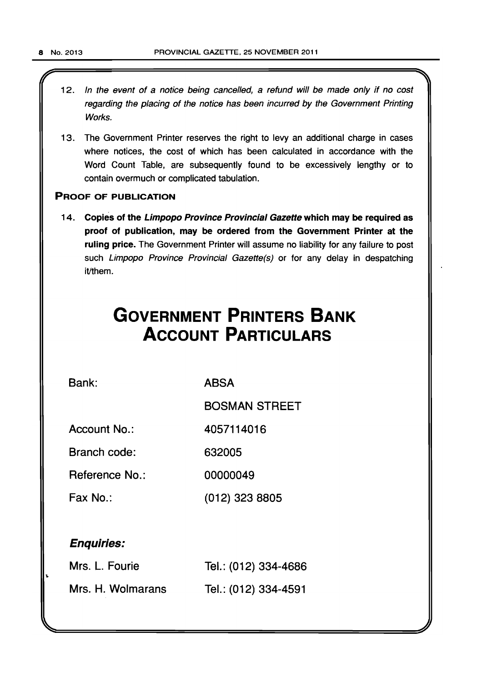12. In the event of a notice being cancelled, a refund will be made only if no cost regarding the placing of the notice has been incurred by the Government Printing Works.

 $\mathcal{L}$   $\mathcal{L}$   $\mathcal{L}$   $\mathcal{L}$   $\mathcal{L}$   $\mathcal{L}$   $\mathcal{L}$   $\mathcal{L}$   $\mathcal{L}$   $\mathcal{L}$   $\mathcal{L}$   $\mathcal{L}$   $\mathcal{L}$   $\mathcal{L}$   $\mathcal{L}$   $\mathcal{L}$   $\mathcal{L}$   $\mathcal{L}$   $\mathcal{L}$   $\mathcal{L}$   $\mathcal{L}$   $\mathcal{L}$   $\mathcal{L}$   $\mathcal{L}$   $\mathcal{$ 

13. The Government Printer reserves the right to levy an additional charge in cases where notices, the cost of which has been calculated in accordance with the Word Count Table, are subsequently found to be excessively lengthy or to contain overmuch or complicated tabulation.

# PROOF OF PUBLICATION

14. Copies of the Limpopo Province Provincial Gazette which may be required as proof of publication, may be ordered from the Government Printer at the ruling price. The Government Printer will assume no liability for any failure to post such Limpopo Province Provincial Gazette(s) or for any delay in despatching it/them.

# **GOVERNMENT PRINTERS BANK ACCOUNT PARTICULARS**

Bank:

ABSA

BOSMAN STREET

Account No.: 4057114016

Branch code: 632005

Reference No.: 00000049

Fax No.: (012) 323 8805

# Enquiries:

| Mrs. L. Fourie    | Tel.: (012) 334-4686 |
|-------------------|----------------------|
| Mrs. H. Wolmarans | Tel.: (012) 334-4591 |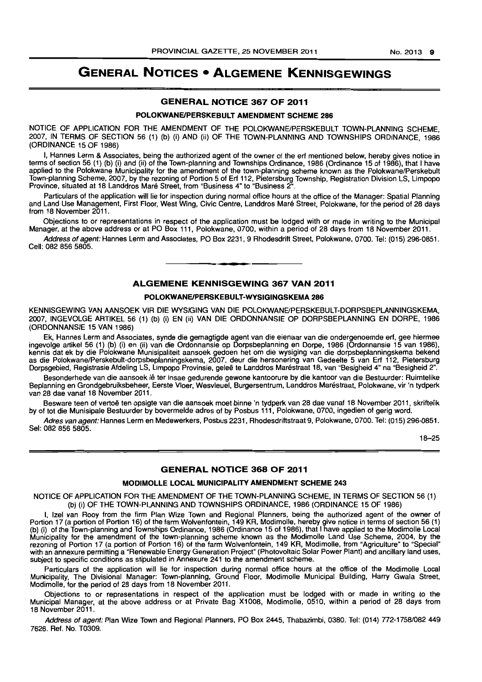# **GENERAL NOTICES • ALGEMENE KENNISGEWINGS**

#### **GENERAL NOTICE 367 OF 2011**

#### **POLOKWANEIPERSKEBULT AMENDMENT SCHEME 286**

NOTICE OF APPLICATION FOR THE AMENDMENT OF THE POLOKWANEJPERSKEBULT TOWN-PLANNING SCHEME, 2007, IN TERMS OF SECTION 56 (1) (b) (i) AND (ii) OF THE TOWN-PLANNING AND TOWNSHIPS ORDINANCE, 1986 (ORDINANCE 15 OF 1986)

I, Hannes Lerm & Associates, being the authorized agent of the owner of the ert mentioned below, hereby gives notice in terms of section 56 (1) (b) (il and (ii) of the Town-planning and Townships Ordinance, 1986 (Ordinance 15 of 1986), that I have applied to the Polokwane Municipality for the amendment of the town-planning scheme known as the Polokwane/Perskebult Town-planning Scheme, 2007, by the rezoning of Portion 5 of Ert 112, Pietersburg Township, Registration Division LS, Limpopo Province, situated at 18 Landdros Mare Street, from "Business 4" to "Business 2".

Particulars of the application will lie for inspection during normal office hours at the office of the Manager: Spatial Planning and Land Use Management, First Floor, West Wing, Civic Centre, Landdros Mare Street, Polokwane, for the period of 28 days from 18 November 2011.

Objections to or representations in respect of the application must be lodged with or made in writing to the Municipal Manager, at the above address or at PO Box 111, Polokwane, 0700, within a period of 28 days from 18 November 2011.

Address of agent: Hannes Lerm and Associates, PO Box 2231, 9 Rhodesdrift Street, Polokwane, 0700, Tel: (015) 296-0851. Cell: 082 856 5805. . **-.** 

# **ALGEMENE KENNISGEWING 367 VAN 2011**

#### **POLOKWANEIPERSKEBULT-WYSIGINGSKEMA 286**

KENNISGEWING VAN AANSOEK VIR DIE WYSIGING VAN DIE POLOKWANE/PERSKEBULT-DORPSBEPLANNINGSKEMA, 2007, INGEVOLGE ARTIKEL 56 (1) (b) (i) EN (ii) VAN DIE ORDONNANSIE OP DORPSBEPLANNING EN DORPE, 1986 (ORDONNANSIE 15 VAN 1986)

Ek, Hannes Lerm and Associates, synde die gemagtigde agent van die eienaar van die ondergenoemde ert, gee hiermee ingevolge artikel 56 (1) (b) (i) en (ii) van die Ordonnansie op Dorpsbeplanning en Dorpa, 1986 (Ordonnansie 15 van 1986), kennis dat ek by die Polokwane Munisipaliteit aansoek gedoen het om die wysiging van die dorpsbeplanningskema bekend as die Polokwane/Perskebult-dorpsbeplanningskema, 2007, deur die hersonering van Gedeelte 5 van Ert 112, Pietersburg Dorpsgebied, Registrasie Afdeling LS, Limpopo Provinsie, gelee te Landdros Marestraat 18, van "Besigheid 4" na "Besigheid 2".

Besonderhede van die aansoek lê ter insae gedurende gewone kantoorure by die kantoor van die Bestuurder: Ruimtelike Beplanning en Grondgebruiksbeheer, Eerste Vloer, Wesvleuel, Burgersentrum, Landdros Marestraat, Polokwane, vir 'n tydperk van 28 dae vanaf 18 November 2011.

Besware teen of vertoë ten opsigte van die aansoek moet binne 'n tydperk van 28 dae vanaf 18 November 2011, skriftelik by of tot die Munisipale Bestuurder by bovermelde adres of by Posbus 111, Polokwane, 0700, ingedien of gerig word.

Adres van agent: Hannes Lerm en Medewerkers, Posbus 2231, Rhodesdriftstraat 9, Polokwane, 0700. Tel: (015) 296-0851. Sel: 082 856 5805.

18-25

#### **GENERAL NOTICE 368 OF 2011**

#### **MODIMOLLE LOCAL MUNICIPALITY AMENDMENT SCHEME 243**

NOTICE OF APPLICATION FOR THE AMENDMENT OF THE TOWN-PLANNING SCHEME, IN TERMS OF SECTION 56 (1) (b) (i) OF THE TOWN-PLANNING AND TOWNSHIPS ORDINANCE, 1986 (ORDINANCE 15 OF 1986)

I, Izel van Rooy from the firm Plan Wize Town and Regional Planners, being the authorized agent of the owner of Portion 17 (a portion of Portion 16) of the farm Wolvenfontein, 149 KR, Modimolle, hereby give notice in terms of section 56 (1) (b) (i) of the Town-planning and Townships Ordinance, 1986 (Ordinance 15 of 1986), that I have applied to the Modimolle Local Municipality for the amendment of the town-planning scheme known as the Modimolle Land Use Scheme, 2004, by the rezoning of Portion 17 (a portion of Portion 16) of the farm Wolvenfontein, 149 KR, Modimolle, from "Agriculture" to "Special" with an annexure permitting a "Renewable Energy Generation Project" (Photovoltaic Solar Power Plant) and ancillary land uses, subject to specific conditions as stipulated in Annexure 241 to the amendment scheme.

Particulars of the application will lie for inspection during normal office hours at the office of the Modimolle Local Municipality, The Divisional Manager: Town-planning, Ground Floor, Modimolle Municipal Building, Harry Gwala Street, Modimolle, for the period of 28 days from 18 November 2011.

Objections to or representations in respect of the application must be lodged with or made in writing to the Municipal Manager, at the above address or at Private Bag X1008, Modimolle, 0510, within a period of 28 days from 18 November 2011.

Address of agent: Plan Wize Town and Regional Planners, PO Box 2445, Thabazimbi, 0380. Tel: (014) 772-1758/082449 7626. Ref. No. T0309.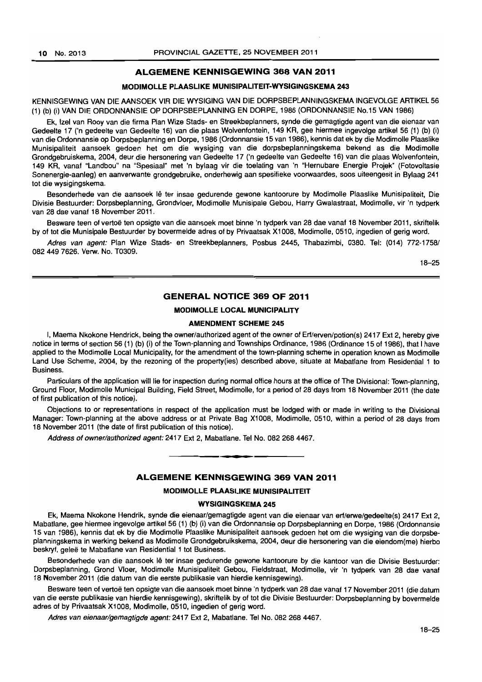#### ALGEMENE KENNISGEWING 368 VAN 2011

#### MODIMOLLE PLAASLIKE MUNISIPALITEIT-WYSIGINGSKEMA 243

KENNISGEWING VAN DIE AANSOEK VIR DIE WYSIGING VAN DIE DORPSBEPLANNINGSKEMA INGEVOLGE ARTIKEL 56 (1) (b) (i) VAN DIE ORDONNANSIE OP DORPSBEPLANNING EN DORPE, 1986 (ORDONNANSIE No.15 VAN 1986)

Ek, Izel van Rooy van die firma Plan Wize Stads- en Streekbeplanners, synde die gemagtigde agent van die eienaar van Gedeelte 17 ('n gedeelte van Gedeelte 16) van die plaas Wolvenfontein, 149 KR, gee hiermee ingevolge artikel 56 (1) (b) (i) van die Ordonnansie op Dorpsbeplanning en Dorpe, 1986 (Ordonnansie 15 van 1986), kennis dat ek by die Modimolle Plaaslike Munisipaliteit aansoek gedoen het om die wysiging van die dorpsbeplanningskema bekend as die Modimolle Grondgebruiskema, 2004, deur die hersonering van Gedeelte 17 ('n gedeelte van Gedeelte 16) van die plaas Wolventontein, 149 KR, vanaf "Landbou" na "Spesiaal" met 'n bylaag vir die toelating van 'n "Hernubare Energie Projek" (Fotovoltasie Sonenergie-aanleg) en aanverwante grondgebruike, onderhewig aan spesifieke voorwaardes, soos uiteengesit in Bylaag 241 tot die wysigingskema.

Besonderhede van die aansoek lê ter insae gedurende gewone kantoorure by Modimolle Plaaslike Munisipaliteit, Die Divisie Bestuurder: Dorpsbeplanning, Grondvloer, Modimolle Munisipale Gebou, Harry Gwalastraat, Modimolle. vir 'n tydperk van 28 dae vanaf 18 November 2011.

Besware teen of vertoë ten opsigte van die aansoek moet binne 'n tydperk van 28 dae vanaf 18 November 2011, skriftelik by of tot die Munisipale Bestuurder by bovermelde adres of by Privaatsak Xl 008, Modimolle, 0510. ingedien of gerig word.

Adres van agent: Plan Wize Stads- en Streekbeplanners, Posbus 2445, Thabazimbi, 0380. Tel: (014) 772-1758/ 082 449 7626. Verw. No. T0309.

18-25

#### GENERAL NOTICE 369 OF 2011

#### MODIMOLLE LOCAL MUNICIPALITY

#### AMENDMENT SCHEME 245

I, Maema Nkokone Hendrick, being the owner/authorized agent of the owner of Erf/erven/potion(s) 2417 Ext 2, hereby give notice in terms of section 56 (1) (b) (i) of the Town-planning and Townships Ordinance, 1986 (Ordinance 15 of 1986), that I have applied to the Modimolle Local Municipality, for the amendment of the town-planning scheme in operation known as Modimolle Land Use Scheme, 2004, by the rezoning of the property(ies) described above, situate at Mabatlane from Residential 1 to Business.

Particulars of the application will lie for inspection during normal office hours at the office of The Divisional: Town-planning, Ground Floor, Modimolle Municipal Building, Field Street, Modimolle, for a period of 28 days from 18 November 2011 (the date of first publication of this notice).

Objections to or representations in respect of the application must be lodged with or made in writing to the Divisional Manager: Town-planning at the above address or at Private Bag X1008, Modimolle, 0510, within a period of 28 days from 18 November 2011 (the date of first publication of this notice).

Address of owner/authorized agent: 2417 Ext 2, Mabatlane. Tel No. 082 268 4467 . . **- .** 

#### ALGEMENE KENNISGEWING 369 VAN 2011

#### MODIMOLLE PLAASLIKE MUNISIPALITEIT

#### WYSIGINGSKEMA 245

Ek, Maema Nkokone Hendrik, synde die eienaar/gemagtigde agent van die eienaar van erf/erwe/gedeelte(s) 2417 Ext 2, Mabatlane, gee hiermee ingevolge artikel56 (1) (b) (i) van die Ordonnansie op Dorpsbeplanning en Dorpe, 1986 (Ordonnansie 15 van 1986). kennis dat ek by die Modimolle Plaaslike Munisipaliteit aansoek gedoen het om die wysiging van die dorpsbeplanningskema in werking bekend as Modimolle Grondgebruikskema, 2004, deur die hersonering van die eiendom(me) hierbo beskryf, geleë te Mabatlane van Residential 1 tot Business.

Besonderhede van die aansoek lê ter insae gedurende gewone kantoorure by die kantoor van die Divisie Bestuurder: Dorpsbeplanning, Grond Vloer, Modimolle Munisipaliteit Gebou, Fieldstraat, Modimolle, vir 'n tydperk van 28 dae vanaf 18 November 2011 (die datum van die eerste publikasie van hierdie kennisgewing).

Besware teen of vertoë ten opsigte van die aansoek moet binne 'n tydperk van 28 dae vanaf 17 November 2011 (die datum van die eerste publikasie van hierdie kennisgewing), skriftelik by of tot die Divisie Bestuurder: Dorpsbeplanning by bovermelde adres of by Privaatsak Xl008, Modimolle, 0510, ingedien of gerig word.

Adres van eienaar/gemagtigde agent: 2417 Ext 2, Mabatlane. Tel No. 082 268 4467.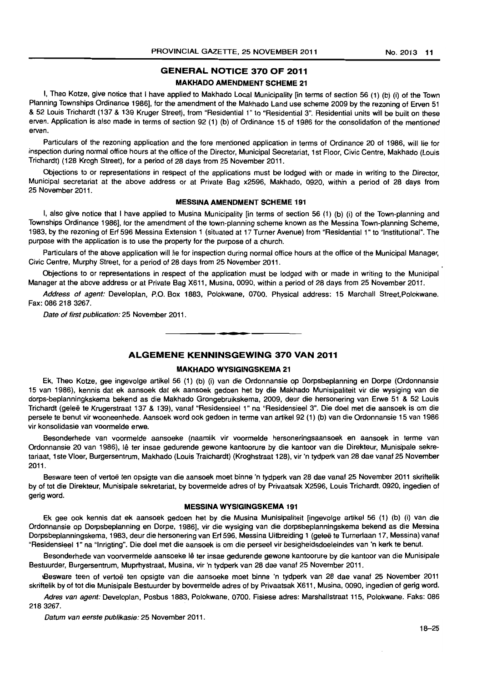# GENERAL NOTICE 370 OF 2011

#### MAKHADO AMENDMENT SCHEME 21

I, Theo Kotze, give notice that I have applied to Makhado Local Municipality [in terms of section 56 (1) (b) (i) of the Town Planning Townships Ordinance 1986], for the amendment of the Makhado Land use scheme 2009 by the rezoning of Erven 51 & 52 Louis Trichardt (137 & 139 Kruger Street), from "Residential 1" to "Residential 3". Residential units will be built on these erven. Application is also made in terms of section 92 (1) (b) of Ordinance 15 of 1986 for the consolidation of the mentioned erven.

Particulars of the rezoning application and the fore mentioned application in terms of Ordinance 20 of 1986, will lie for inspection during normal office hours at the office of the Director, Municipal Secretariat, 1 st Floor, Civic Centre, Makhado (Louis Trichardt) (128 Krogh Street), for a period of 28 days from 25 November 2011.

Objections to or representations in respect of the applications must be lodged with or made in writing to the Director, Municipal secretariat at the above address or at Private Bag x2596, Makhado, 0920, within a period of 28 days from 25 November 2011.

#### MESSINA AMENDMENT SCHEME 191

I, also give notice that I have applied to Musina Municipality [in terms of section 56 (1) (b) (i) of the Town-planning and Townships Ordinance 1986], for the amendment of the town-planning scheme known as the Messina Town-planning Scheme, 1983, by the rezoning of Erf 596 Messina Extension 1 (situated at 17 Turner Avenue) from "Residential 1" to "Institutional". The purpose with the application is to use the property for the purpose of a church.

Particulars of the above application will lie for inspection during normal office hours at the office of the Municipal Manager, Civic Centre, Murphy Street, for a period of 28 days from 25 November 2011.

Objections to or representations in respect of the application must be lodged with or made in writing to the Municipal Manager at the above address or at Private Bag X611, Musina, 0090, within a period of 28 days from 25 November 2011.

Address of agent: Developlan, P.O. Box 1883, Polokwane, 0700. Physical address: 15 Marchall Street, Polokwane. Fax: 086 218 3267.

Date of first publication: 25 November 2011.

#### ALGEMENE KENNINSGEWING 370 VAN 2011

• **- I** 

# MAKHADO WYSIGINGSKEMA 21

Ek, Theo Kotze, gee ingevolge artikel 56 (1) (b) (i) van die Ordonnansie op Dorpsbeplanning en Dorpe (Ordonnansie 15 van 1986), kennis dat ek aansoek dat ek aansoek gedoen het by die Makhado Munisipaliteit vir die wysiging van die dorps-beplanningkskema bekend as die Makhado Grongebruikskema, 2009, deur die hersonering van Erwe 51 & 52 Louis Trichardt (gelee te Krugerstraat 137 & 139), vanaf "Residensieel 1" na "Residensieel 3". Die doel met die aansoek is om die persele te benut vir wooneenhede. Aansoek word ook gedoen in terme van artikel 92 (1) (b) van die Ordonnansie 15 van 1986 vir konsolidasie van voormelde erwe.

Besonderhede van voormelde aansoeke (naamlik vir voormelde hersoneringsaansoek en aansoek in terme van Ordonnansie 20 van 1986), Ie ter insae gedurende gewone kantoorure by die kantoor van die Direkteur, Munisipale sekretariaat, lste Vlaer, Burgersentrum, Makhado (Louis Traichardt) (Kroghstraat 128), vir 'n tydperk van 28 dae vanaf 25 November 2011.

Besware teen of vertoe ten opsigte van die aansoek moet binne 'n tydperk van 28 dae vanaf 25 November 2011 skriftelik by of tot die Direkteur, Munisipale sekretariat, by bovermelde adres of by Privaatsak X2596, Louis Trichardt, 0920, ingedien of gerig word.

#### MESSINA WYSIGINGSKEMA 191

Ek gee oak kennis dat ek aansoek gedoen het by die Musina Munisipaliteit [ingevolge artikel 56 (1) (b) (i) van die Ordonnansie op Dorpsbeplanning en Dorpe, 1986], vir die wysiging van die dorpsbeplanningskema bekend as die Messina Dorpsbeplanningskema, 1983, deur die hersonering van Erf 596, Messina Uitbreiding 1 (gelee te Turnerlaan 17, Messina) vanaf "Residensieel 1" na "Inrigting". Die doel met die aansoek is om die perseel vir besigheidsdoeleindes van 'n kerk te benut.

Besonderhede van voorvermelde aansoeke Iê ter insae gedurende gewone kantoorure by die kantoor van die Munisipale Bestuurder, Burgersentrum, Muprhystraat, Musina. vir 'n tydperk van 28 dae vanaf 25 November 2011.

tBesware teen of vertoe ten opsigte van die aansoeke moet binne 'n tydperk van 28 dae vanaf 25 November 2011 skriftelik by of tot die Munisipale Bestuurder by bovermelde adres of by Privaatsak X611, Musina, 0090, ingedien of gerig word.

Adres van agent: Developlan. Posbus 1883, Polokwane, 0700. Fisiese adres: Marshallstraat 115, Polokwane. Faks: 086 2183267.

Datum van eerste publikasie: 25 November 2011.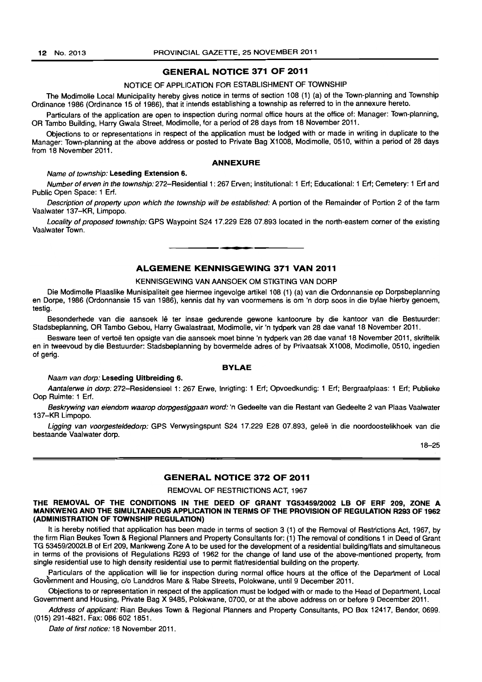# GENERAL NOTICE 371 OF 2011

#### NOTICE OF APPLICATION FOR ESTABLISHMENT OF TOWNSHIP

The Modimolle Local Municipality hereby gives notice in terms of section 108 (1) (a) of the Town-planning and Township Ordinance 1986 (Ordinance 15 of 1986), that it intends establishing a township as referred to in the annexure hereto.

Particulars of the application are open to inspection during normal office hours at the office of: Manager: Town-planning. OR Tambo Building. Harry Gwala Street. Modimolle. for a period of 28 days from 18 November 2011.

Objections to or representations in respect of the application must be lodged with or made in writing in duplicate to the Manager: Town-planning at the above address or posted to Private Bag X1008. Modimolle, 0510, within a period of 28 days from 18 November 2011.

#### ANNEXURE

#### Name of township: Leseding Extension 6.

Number of erven in the township: 272-Residential 1: 267 Erven; Institutional: 1 Erf; Educational: 1 Erf; Cemetery: 1 Erf and Public Open Space: 1 Erf.

Description of property upon which the township will be established: A portion of the Remainder of Portion 2 of the farm Vaalwater 137-KR, Limpopo.

Locality of proposed township: GPS Waypoint S24 17.229 E28 07.893 located in the north-eastern corner of the existing Vaalwater Town. . **- .** 

# ALGEMENE KENNISGEWING 371 VAN 2011

#### KENNISGEWING VAN AANSOEK OM STIGTING VAN DORP

Die Modimolle Plaaslike Munisipaliteit gee hiermee ingevolge artikel 108 (1) (a) van die Ordonnansie op Dorpsbeplanning en Dorpe. 1986 (Ordonnansie 15 van 1986). kennis dat hy van voormemens is om 'n dorp soos in die bylae hierby genoem, testig.

Besonderhede van die aansoek lê ter insae gedurende gewone kantoorure by die kantoor van die Bestuurder: Stadsbeplanning, OR Tambo Gebou, Harry Gwalastraat, Modimolle, vir 'n tydperk van 28 dae vanaf 18 November 2011.

Besware teen of vertoë ten opsigte van die aansoek moet binne 'n tydperk van 28 dae vanaf 18 November 2011, skriftelik en in tweevoud by die Bestuurder: Stadsbeplanning by bovermelde adres of by Privaatsak Xl008, Modimolle, 0510, ingedien of gerig.

#### BYLAE

#### Naam van dorp: Leseding Ultbreiding 6.

Aantalerwe in dorp: 272-Residensieel 1: 267 Erwe, Inrigting: 1 Erf; Opvoedkundig: 1 Erf; Bergraafplaas: 1 Erf; Publieke Oop Ruimte: 1 Erf.

Beskrywing van eiendom waarop dorpgestiggaan word: 'n Gedeelte van die Restant van Gedeelte 2 van Plaas Vaalwater 137-KR Limpopo.

Ligging van voorgesteldedorp: GPS Verwysingspunt S24 17.229 E28 07.893, geleë in die noordoostelikhoek van die bestaande Vaalwater dorp.

18-25

#### GENERAL NOTICE 372 OF 2011

#### REMOVAL OF RESTRICTIONS ACT, 1967

#### THE REMOVAL OF THE CONDITIONS IN THE DEED OF GRANT TG53459/2002 LB OF ERF 209, ZONE A MANKWENG AND THE SIMULTANEOUS APPLICATION IN TERMS OF THE PROVISION OF REGULATION R293 OF 1962 (ADMINISTRATION OF TOWNSHIP REGULATION)

It is hereby notified that application has been made in terms of section 3 (1) of the Removal of Restrictions Act, 1967, by the firm Rian Beukes Town & Regional Planners and Property Consultants for: (1) The removal of conditions 1 in Deed of Grant TG 53459/2002LB of Erf 209, Mankweng Zone A to be used for the development of a residential building/flats and simultaneous in terms of the provisions of Regulations R293 of 1962 for the change of land use of the above-mentioned property, from single residential use to high density residential use to permit flat/residential building on the property.

Particulars of the application will lie for inspection during normal office hours at the office of the Department of Local Government and Housing, c/o Landdros Mare & Rabe Streets, Polokwane, until 9 December 2011.

Objections to or representation in respect of the application must be lodged with or made to the Head of Department, Local Government and Housing, Private Bag X 9485, Polokwane, 0700, or at the above address on or before 9 December 2011.

Address of applicant: Rian Beukes Town & Regional Planners and Property Consultants, PO Box 12417, Bendor, 0699. (015) 291-4821. Fax: 086 602 1851.

Date of first notice: 18 November 2011.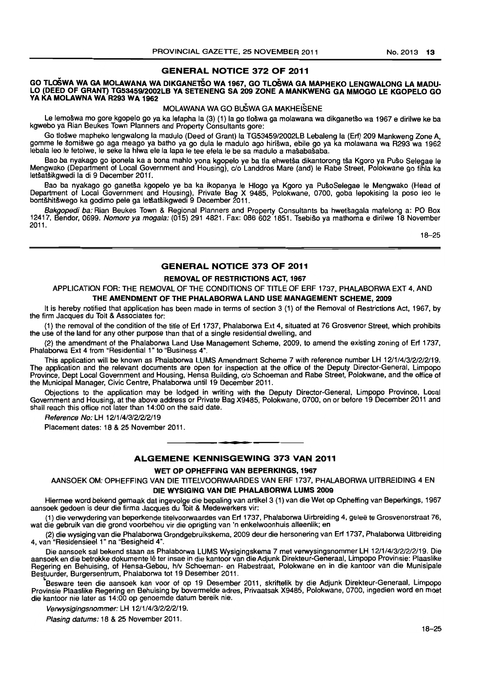#### GENERAL NOTICE 372 OF 2011

#### GO TLOŠWA WA GA MOLAWANA WA DIKGANETŠO WA 1967, GO TLOŠWA GA MAPHEKO LENGWALONG LA MADU-LO (DEED OF GRANT) TG5345912002LB VA SETENENG SA 209 ZONE A MANKWENG GA MMOGO LE KGOPELO GO VA KA MOLAWNA WA R293 WA 1962

#### MOLAWANA WA GO BuSWA GA MAKHEISENE

Le lemoswa mo gore kgopelo go ya ka lefapha la (3) (1) la go tloswa ga molawana wa dikganetso wa 1967 e dirilwe ke ba kgwebo ya Rian Beukes Town Planners and Property Consultants gore:

Go tloswe mapheko lengwalong la madulo (Deed of Grant) la TG53459/2002LB Lebaleng la (Erf) 209 Mankweng Zone A, gomme Ie somiswe go aga meago ya batho ya go dula Ie madulo ago hiriswa, ebile go ya ka molawana wa R293 wa 1962 lebala leo le fetolwe, le seke la hlwa ele la lapa le tee efela le be sa madulo a mašabašaba.

Bao ba nyakago go iponela ka a bona mahto yona kgopelo ye ba tla ehwetsa dikantorong tsa Kgoro ya Puso Selegae Ie Mengwako (Department of Local Government and Housing), c/o Landdros Mare (and) Ie Rabe Street, Polokwane go fihla ka letsatsikgwedi la di 9 December 2011.

Bao ba nyakago go ganetsa kgopelo ye ba ka ikopanya Ie Hlogo ya Kgoro ya PU50Selegae Ie Mengwako (Head of Department of Local Government and Housing), Private Bag X 9465, Polokwane, 0700, goba lepokising la poso leo Ie bontšhitšwego ka godimo pele ga letšatšikgwedi 9 December 2011.

Bakgopedi ba: Rian Beukes Town & Regional Planners and Property Consultants ba hwetsagala mafelong a: PO Box 12417, Bendor, 0699. Nomoro ya mogala: (015) 291 4821. Fax: 086 602 1851. Tsebišo ya mathoma e dirilwe 18 November 2011.

16-25

# GENERAL NOTICE 373 OF 2011

#### REMOVAL OF RESTRICTIONS ACT, 1967

APPLICATION FOR: THE REMOVAL OF THE CONDITIONS OF TITLE OF ERF 1737, PHALABORWA EXT 4, AND THE AMENDMENT OF THE PHALABORWA LAND USE MANAGEMENT SCHEME, 2009

It is hereby notified that application has been made in terms of section 3 (1) of the Removal of Restrictions Act, 1967, by the firm Jacques du Toit & Associates for:

(1) the removal of the condition of the title of Erf 1737, Phalaborwa Ext 4, situated at 76 Grosvenor Street, which prohibits the use of the land for any other purpose than that of a single residential dwelling, and

(2) the amendment of the Phalaborwa Land Use Management Scheme, 2009, to amend the existing zoning of Erf 1737, Phalaborwa Ext 4 from "Residential 1" to "Business 4".

This application will be known as Phalaborwa LUMS Amendment Scheme 7 with reference number LH 12/1/4/3/2/2/2/19. The application and the relevant documents are open for inspection at the office of the Deputy Director-General, Limpopo Province, Dept Local Government and Housing, Hensa Building, c/o Schoeman and Rabe Street, Polokwane, and the office of the Municipal Manager, Civic Centre, Phalaborwa until 19 December 2011.

Objections to the application may be lodged in writing with the Deputy Director-General, Limpopo Province, Local Government and Housing, at the above address or Private Bag X9485, Polokwane, 0700. on or before 19 December 2011 and shall reach this office not later than 14:00 on the said date.

Reference No: LH 12/1/4/3/2/2/2/19

Placement dates: 16 & 25 November 2011.

#### ALGEMENE KENNISGEWING 373 VAN 2011

. **- .** 

#### WET OP OPHEFFING VAN BEPERKINGS, 1967

MNSOEK OM: OPHEFFING VAN DIE TITELVOORWAARDES VAN ERF 1737, PHALABORWA UITBREIDING 4 EN DIE WYSIGING VAN DIE PHALABORWA LUMS 2009

Hiermee word bekend gemaak dat ingevolge die bepaling van artikel3 (1) van die Wet op Opheffing van Beperkings, 1967 aansoek gedoen is deur die firma Jacques du Toit & Medewerkers vir:

(1) die verwydering van beperkende titelvoorwaardes van Erf 1737, Phalaborwa Uirbreiding 4, gelee te Grosvenorstraat 76, wat die gebruik van die grond voorbehou vir die oprigting van 'n enkelwoonhuis alleenlik; en

(2) die wysiging van die Phalaborwa Grondgebruikskema, 2009 deur die hersonering van Erf 1737, Phalaborwa Uitbreiding 4, van "Residensieel 1" na "Besigheid 4".

Die aansoek sal bekend staan as Phalaborwa LUMS Wysigingskema 7 met verwysingsnommer LH 12/1/4/3/2/2/2/19. Die aansoek en die betrokke dokumente lê ter insae in die kantoor van die Adjunk Direkteur-Generaal, Limpopo Provinsie: Plaaslike Regering en Behuising, of Hensa-Gebou, hlv Schoeman- en Rabestraat, Polokwane en in die kantoor van die Munisipale Bestuurder, Burgersentrum, Phalaborwa tot 19 Desember 2011. \.

Besware teen die aansoek kan voor of op 19 Desember 2011, skriftelik by die Adjunk Direkteur-Generaal, Limpopo Provinsie Plaaslike Regering en Behuising by bovermelde adres, Privaatsak X9465, Polokwane, 0700, ingedien word en moet die kantoor nie later as 14:00 op genoemde datum bereik nie.

Verwysigingsnommer: LH 12/1/4/3/2/2/2/19.

Plasing datums: 18 & 25 November 2011.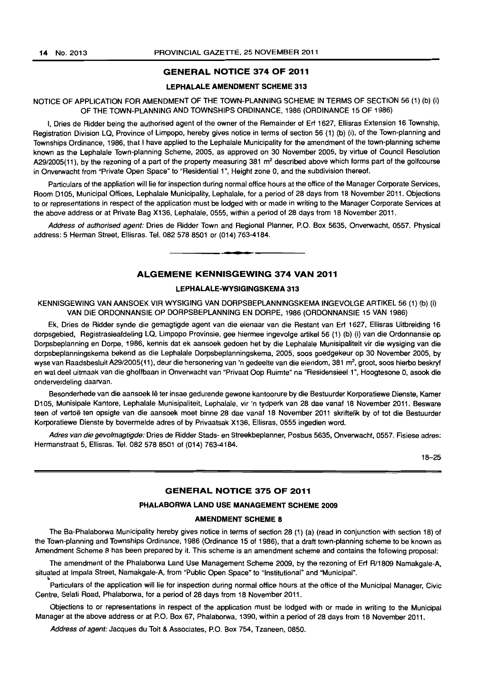~

#### GENERAL NOTICE 374 OF 2011

#### LEPHALALE AMENDMENT SCHEME 313

#### NOTICE OF APPLICATION FOR AMENDMENT OF THE TOWN-PLANNING SCHEME IN TERMS OF SECTION 56 (1) (b) (i) OF THE TOWN-PLANNING AND TOWNSHIPS ORDINANCE, 1986 (ORDINANCE 15 OF 1986)

I, Dries de Ridder being the authorised agent of the owner of the Remainder of Erf 1627. Ellisras Extension 16 Township, Registration Division LQ, Province of Limpopo, hereby gives notice in terms of section 56 (1) (b) (i), of the Town-planning and Townships Ordinance, 1986, that I have applied to the Lephalale Municipality for the amendment of the town-planning scheme known as the Lephalale Town-planning Scheme, 2005, as approved on 30 November 2005, by virtue of Council Resolution A29/2005(11), by the rezoning of a part of the property measuring 381  $m<sup>2</sup>$  described above which forms part of the golfcourse in Onverwacht from "Private Open Space" to "Residential 1 ", Height zone 0, and the subdivision thereof.

Particulars of the appliation will lie for inspection during normal office hours at the office of the Manager Corporate Services, Room 0105, Municipal Offices, Lephalale Municipality, Lephalale, for a period of 28 days from 18 November 2011. Objections to or representations in respect of the application must be lodged with or made in writing to the Manager Corporate Services at the above address or at Private Bag X136, Lephalale, 0555, within a period of 28 days from 18 November 2011.

Address of authorised agent: Dries de Ridder Town and Regional Planner, P.O. Box 5635, Onverwacht, 0557. Physical address: 5 Herman Street, Ellisras. Tel. 082 578 8501 or (014) 763-4184.

**I ••** 

#### ALGEMENE KENNISGEWING 374 VAN 2011

# LEPHALALE-WYSIGINGSKEMA 313

KENNISGEWING VAN AANSOEK VIR WYSIGING VAN DORPSBEPLANNINGSKEMA INGEVOLGE ARTIKEL 56 (1) (b) (i) VAN DIE ORDONNANSIE OP DORPSBEPLANNING EN DORPE, 1986 (ORDONNANSIE 15 VAN 1986)

Ek, Dries de Ridder synde die gemagtigde agent van die eienaar van die Restant van Erf 1627, Ellisras Uitbreiding 16 dorpsgebied, Registrasieafdeling LQ. Limpopo Provinsie, gee hiermee ingevolge artikel 56 (1) (b) (i) van die Ordonnansie op Dorpsbeplanning en Dorpe, 1986, kennis dat ek aansoek gedoen het by die Lephalale Munisipaliteit vir die wysiging van die dorpsbeplanningskema bekend as die Lephalale Dorpsbeplanningskema, 2005, soos goedgekeur op 30 November 2005, by wyse van Raadsbesluit A29/2005(11), deur die hersonering van 'n gedeelte van die eiendom, 381 m<sup>2</sup>, groot, soos hierbo beskryf en wat deel uitmaak van die gholfbaan in Onverwacht van "Privaat Oop Ruimte" na "Residensieel 1", Hoogtesone 0, asook die onderverdeling daarvan.

Besonderhede van die aansoek lê ter insae gedurende gewone kantoorure by die Bestuurder Korporatiewe Dienste, Kamer D105, Munisipale Kantore, Lephalale Munisipaliteit, Lephalale, vir 'n tydperk van 28 dae vanaf 18 November 2011. Besware teen of vertoë ten opsigte van die aansoek moet binne 28 dae vanaf 18 November 2011 skriftelik by of tot die Bestuurder Korporatiewe Dienste by bovermelde adres of by Privaatsak X136, Ellisras, 0555 ingedien word.

Adres van die gevolmagtigde: Dries de Ridder Stads- en Streekbeplanner, Posbus 5635, Onverwacht, 0557. Fisiese adres: Hermanstraat 5, Ellisras. Tel. 082 578 8501 of (014) 763-4184.

18-25

#### GENERAL NOTICE 375 OF 2011

#### PHALABORWA LAND USE MANAGEMENT SCHEME 2009

#### AMENDMENT SCHEME 8

The Ba-Phalaborwa Municipality hereby gives notice in terms of section 28 (1) (a) (read in conjunction with section 18) of the Town-planning and Townships Ordinance, 1986 (Ordinance 15 of 1986), that a draft town-planning scheme to be known as Amendment Scheme 8 has been prepared by it. This scheme is an amendment scheme and contains the following proposal:

The amendment of the Phalaborwa Land Use Management Scheme 2009, by the rezoning of Erf R/1809 Namakgale-A, situated at Impala Street, Namakgale-A, from "Public Open Space" to "Institutional" and "Municipal".

Particulars of the application will lie for inspection during normal office hours at the office of the Municipal Manager, Civic Centre, Selati Road, Phalaborwa, for a period of 28 days from 18 November 2011.

Objections to or representations in respect of the application must be lodged with or made in writing to the Municipal Manager at the above address or at P.O. Box 67, Phalaborwa, 1390, within a period of 28 days from 18 November 2011.

Address of agent: Jacques du Toit & Associates, P.O. Box 754, Tzaneen, 0850.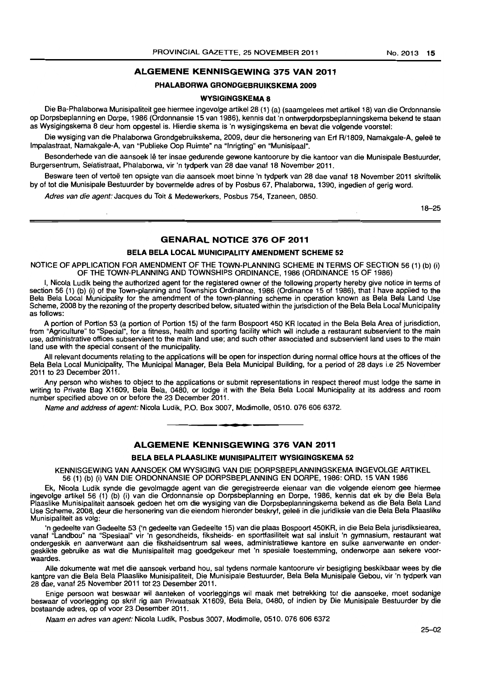# ALGEMENE KENNISGEWING 375 VAN 2011

#### PHALABORWA GRONDGEBRUIKSKEMA 2009

#### WYSIGINGSKEMA 8

Die Ba-Phalaborwa Munisipaliteit gee hiermee ingevolge artikel 28 (1) (a) (saamgelees met artikel 18) van die Ordonnansie op Dorpsbeplanning en Dorpe, 1986 (Ordonnansie 15 van 1986), kennis dat 'n ontwerpdorpsbeplanningskema bekend te staan as Wysigingskema 8 deur hom opgestel is. Hierdie skema is 'n wysigingskema en bevat die volgende voorstel:

Die wysiging van die Phalaborwa Grondgebruikskema, 2009, deur die hersonering van Erf R/1809, Namakgale-A, geleë te Impalastraat, Namakgale-A. van "Publieke Oop Ruimte" na "'nrigting" en "Munisipaal".

Besonderhede van die aansoek lê ter insae gedurende gewone kantoorure by die kantoor van die Munisipale Bestuurder, Burgersentrum, Selatistraat, Phalaborwa, vir 'n tydperk van 28 dae vanaf 18 November 2011.

Besware teen of vertoë ten opsigte van die aansoek moet binne 'n tydperk van 28 dae vanaf 18 November 2011 skriftelik by of tot die Munisipale Bestuurder by bovermelde adres of by Posbus 67, Phalaborwa, 1390, ingedien of gerig word.

Adres van die agent: Jacques du Toit & Medewerkers, Posbus 754, Tzaneen, 0850.

18-25

#### GENARAL NOTICE 376 OF 2011

#### BELA BELA LOCAL MUNICIPALITY AMENDMENT SCHEME 52

NOTICE OF APPLICATION FOR AMENDMENT OF THE TOWN-PLANNING SCHEME IN TERMS OF SECTION 56 (1) (b) (i) OF THE TOWN-PLANNING AND TOWNSHIPS ORDINANCE, 1986 (ORDINANCE 15 OF 1986)

I, Nicola Ludik being the authorized agent for the registered owner of the following property hereby give notice in terms of section 56 (1) (b) (i) of the Town-planning and Townships Ordinance, 1986 (Ordinance 15 of 1986), that I have applied to the Bela Bela Local Municipality for the amendment of the town-planning scheme in operation known as Bela Bela Land Use Scheme, 2008 by the rezoning of the property described below, situated within the jurisdiction of the Bela Bela Local Municipality as follows:

A portion of Portion 53 (a portion of Portion 15) of the farm Bospoort 450 KR located in the Bela Bela Area of jurisdiction, from "Agriculture" to "Special", for a fitness, health and sporting facility which will include a restaurant subservient to the main use, administrative offices subservient to the main land use; and such other associated and subservient land uses to the main land use with the special consent of the municipality.

All relevant documents relating to the applications will be open for inspection during normal office hours at the offices of the Bela Bela Local Municipality, The Municipal Manager, Bela Bela Municipal Building, for a period of 28 days i.e 25 November 2011 to 23 December 2011.

Any person who wishes to object to the applications or submit representations in respect thereof must lodge the same in writing to Private Bag X1609, Bela Bela, 0480, or lodge it with the Bela Bela Local Municipality at its address and room number specified above on or before the 23 December 2011,

Name and address of agent: Nicola Ludik, P.O. Box 3007, Modimolle, 0510, 076 606 6372.

# ALGEMENE KENNISGEWING 376 VAN 2011

**• •** 

#### BELA BELA PLAASLIKE MUNISIPALITEIT WYSIGINGSKEMA 52

KENNISGEWING VAN AANSOEK OM WYSIGING VAN DIE DORPSBEPLANNINGSKEMA INGEVOLGE ARTIKEL 56 (1) (b) (i) VAN DIE ORDONNANSIE OP DORPSBEPLANNING EN DORPE, 1986: ORD. 15 VAN 1986

Ek, Nicola Ludik synde die gevolmagde agent van die geregistreerde eienaar van die volgende eienom gee hiermee ingevolge artikel 56 (1) (b) (i) van die Ordonnansie op Dorpsbeplanning en Dorpe, 1986, kennis dat ek by die Bela Bela Plaaslike Munisipaliteit aansoek gedoen het am die wysiging van die Dorpsbeplanningskema bekend as die Bela Bela Land Use Scheme, 2008, deur die hersonering van die eiendom hieronder beskryf, gelee in die juridiksie van die Bela Bela Plaaslike Munisipaliteit as volg:

'n gedeelte van Gedeelte 53 ('n gedeelte van Gedeelte 15) van die plaas Bospoort 450KR, in die Bela Bela jurisdiksiearea, vanaf "Landbou" na "Spesiaal" vir 'n gesondheids, fiksheids- en sportfasiliteit wat sal insluit 'n gymnasium, restaurant wat ondergeskik en aanverwant aan die fiksheidsentrum sal wees, administratiewe kantore en sulke aanverwante en ondergeskikte gebruike as wat die Munisipaliteit mag goedgekeur met 'n spesiale toestemming, onderworpe aan sekere voorwaardes.

Aile dokumente wat met die aansoek verband hou, sal tydens normale kantoorure vir besigtiging beskikbaar wees by die kantpre van die Bela Bela Plaaslike Munisipaliteit, Die Munisipale Bestuurder, Bela Bela Munisipale Gebou, vir 'n tydperk van 28 aae, vanaf 25 November 2011 tot 23 Desember 2011.

Enige persoon wat beswaar wil aanteken of voorleggings wil maak met betrekking tot die aansoeke, moet sodanige beswaar of voorlegging op skrif rig aan Privaatsak X1609, Bela Bela, 0480, of indien by Die Munisipale Bestuurder by die bostaande adres, op of voor 23 Desember 2011.

Naam en adres van agent: Nicola Ludik, Posbus 3007, Modimolle, 0510. 076 6066372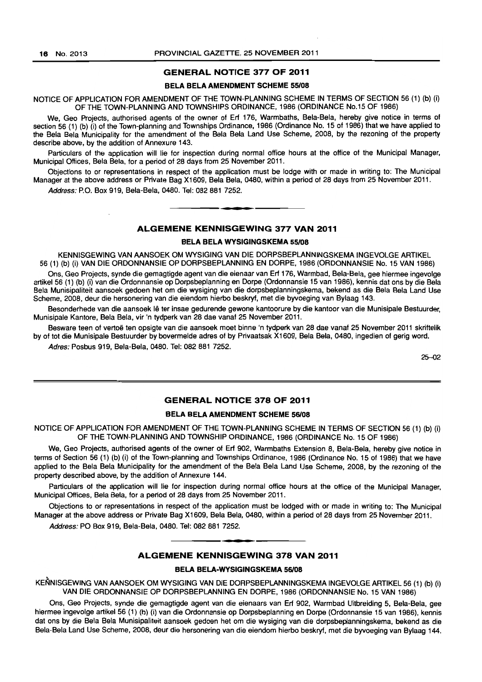#### GENERAL NOTICE 377 OF 2011

#### BELA BELA AMENDMENT SCHEME 55/08

NOTICE OF APPLICATION FOR AMENDMENT OF THE TOWN-PLANNING SCHEME IN TERMS OF SECTION 56 (1) (b) (i) OF THE TOWN-PLANNING AND TOWNSHIPS ORDINANCE, 1986 (ORDINANCE No.15 OF 1986)

We, Geo Projects, authorised agents of the owner of Erf 176, Warmbaths, Bela-Bela, hereby give notice in terms of section 56 (1) (b) (i) of the Town-planning and Townships Ordinance, 1986 (Ordinance No. 15 of 1986) that we have applied to the Bela Bela Municipality for the amendment of the Bela Bela Land Use Scheme. 2008, by the rezoning of the property describe above, by the addition of Annexure 143.

Particulars of the application will lie for inspection during normal office hours at the office of the Municipal Manager, Municipal Offices, Bela Bela, for a period of 28 days from 25 November 2011.

Objections to or representations in respect of the application must be lodge with or made in writing to: The Municipal Manager at the above address or Private Bag X1609, Bela Bela, 0480, within a period of 28 days from 25 November 2011.

Address: P.O. Box 919, Bela-Bela, 0480. Tel: 082 881 7252.

# ALGEMENE KENNISGEWING 377 VAN 2011

• **- I** 

#### **BELA BELA WYSIGINGSKEMA 55/08**

KENNISGEWING VAN AANSOEK OM WYSIGING VAN DIE DORPSBEPLANNINGSKEMA INGEVOLGE ARTIKEL 56 (1) (b) (i) VAN DIE ORDONNANSIE OP DORPSBEPLANNING EN DORPE, 1986 (ORDONNANSIE No. 15 VAN 1986)

Ons, Geo Projects, synde die gemagtigde agent van die eienaar van Erf 176, Warmbad, Bela-Bela, gee hiermee ingevolge artikel 56 (1) (b) (i) van die Ordonnansie op Dorpsbeplanning en Dorpe (Ordonnansie 15 van 1986), kennis dat ons by die Bela Bela Munisipaliteit aansoek gedoen het om die wysiging van die dorpsbeplanningskema, bekend as die Bela Bela Land Use Scheme, 2008, deur die hersonering van die eiendom hierbo beskryf, met die byvoeging van Bylaag 143.

Besonderhede van die aansoek lê ter insae gedurende gewone kantoorure by die kantoor van die Munisipale Bestuurder, Munisipale Kantore, Bela Bela, vir 'n tydperk van 28 dae vanaf 25 November 2011.

Besware teen of vertoe ten opsigte van die aansoek moet binne 'n tydperk van 28 dae vanaf 25 November 2011 skriftelik by of tot die Munisipale Bestuurder by bovermelde adres of by Privaatsak X1609, Bela Bela, 0480, ingedien of gerig word.

Adres: Posbus 919, Bela-Bela, 0480. Tel: 082 881 7252.

25-02

#### GENERAL NOTICE 378 OF 2011

#### BELA BELA AMENDMENT SCHEME 56/08

NOTICE OF APPLICATION FOR AMENDMENT OF THE TOWN-PLANNING SCHEME IN TERMS OF SECTION 56 (1) (b) (i) OF THE TOWN-PLANNING AND TOWNSHIP ORDINANCE, 1986 (ORDINANCE No. 15 OF 1986)

We, Geo Projects, authorised agents of the owner of Erf 902, Warmbaths Extension 8, Bela-Bela, hereby give notice in terms of Section 56 (1) (b) (i) of the Town-planning and Townships Ordinance, 1986 (Ordinance No. 15 of 1986) that we have applied to the Bela Bela Municipality for the amendment of the Bela Bela Land Use Scheme, 2008, by the rezoning of the property described above, by the addition of Annexure 144.

Particulars of the application will lie for inspection during normal office hours at the office of the Municipal Manager, Municipal Offices, Bela Bela, for a period of 28 days from 25 November 2011.

Objections to or representations in respect of the application must be lodged with or made in writing to: The Municipal Manager at the above address or Private Bag X1609, Bela Bela, 0480, within a period of 28 days from 25 November 2011.

Address: PO Box 919, Bela-Bela, 0480. Tel: 082 881 7252 .

# **•**  ALGEMENE KENNISGEWING 378 VAN 2011

#### BELA BELA-WYSIGINGSKEMA *56108*

KENNISGEWING VAN AANSOEK OM WYSIGING VAN DIE DORPSBEPLANNINGSKEMA INGEVOLGE ARTIKEL 56 (1) (b) (i) VAN DIE ORDONNANSIE OP DORPSBEPLANNING EN DORPE, 1986 (ORDONNANSIE No. 15 VAN 1986)

Ons, Geo Projects, synde die gemagtigde agent van die eienaars van Erf 902, Warmbad Uitbreiding 5, Bela-Bela, gee hiermee ingevolge artikel 56 (1) (b) (i) van die Ordonnansie op Dorpsbeplanning en Dorpa (Ordonnansie 15 van 1986), kennis dat ons by die Bela Bela Munisipaliteit aansoek gedoen het om die wysiging van die dorpsbeplanningskema, bekend as die Bela-Bela Land Use Scheme, 2008, deur die hersonering van die eiendom hierbo beskryf, met die byvoeging van Bylaag 144.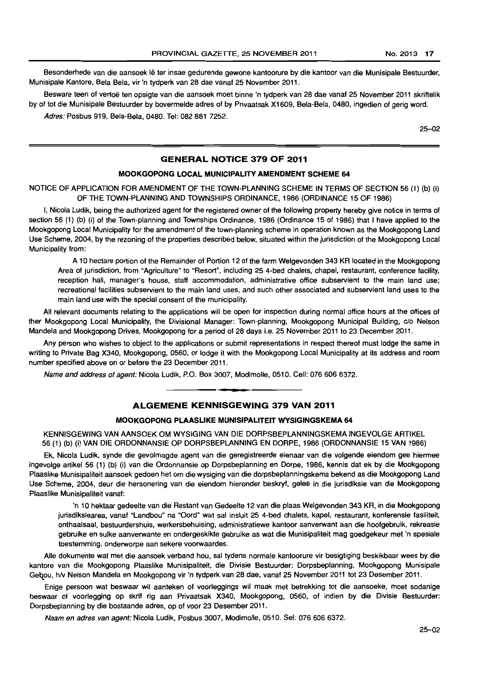Besonderhede van die aansoek Ie ter insae gedurende gewone kantoorure by die kantoor van die Munisipale Bestuurder, Munisipale Kantore, Bela Bela, vir 'n tydperk van 28 dae vanaf 25 November 2011.

Besware teen of vertoe ten opsigte van die aansoek moet binne 'n tydperk van 28 dae vanaf 25 November 2011 skriftelik by of tot die Munisipale Bestuurder by bovermelde adres of by Privaatsak X1609, Bela-Bela, 0480, ingedien of gerig word. Adres: Posbus 919, Bela-Bela, 0480. Tel: 082 881 7252.

25-02

#### **GENERAL NOTICE 379 OF 2011**

#### **MOOKGOPONG LOCAL MUNICIPALITY AMENDMENT SCHEME 64**

NOTICE OF APPLICATION FOR AMENDMENT OF THE TOWN-PLANNING SCHEME IN TERMS OF SECTION 56 (1) (b) (i) OF THE TOWN-PLANNING AND TOWNSHIPS ORDINANCE, 1986 (ORDINANCE 15 OF 1986)

I, Nicola Ludik, being the authorized agent for the registered owner of the following property hereby give notice in terms of section 56 (1) (b) (i) of the Town-planning and Townships Ordinance, 1986 (Ordinance 15 of 1986) that I have applied to the Mookgopong Local Municipality for the amendment of the town-planning scheme in operation known as the Mookgopong Land Use Scheme. 2004, by the rezoning of the properties described below, situated within the jurisdiction of the Mookgopong Local Municipality from:

A 1 0 hectare portion of the Remainder of Portion 12 of the farm Welgevonden 343 KR located in the Mookgopong Area of jurisdiction, from "Agriculture" to "Resort", including 25 4-bed chalets, chapel, restaurant, conference facility, reception hall. manager's house, staff accommodation, administrative office subservient to the main land use; recreational facilities subservient to the main land uses, and such other associated and subservient land uses to the main land use with the special consent of the municipality.

All relevant documents relating to the applications will be open for inspection during normal office hours at the offices of ther Mookgopong Local Municipality, the Divisional Manager: Town-planning, Mookgopong Municipal Building, c/o Nelson Mandela and Mookgopong Drives, Mookgopong for a period of 28 days i.e. 25 November 2011 to 23 December 2011.

Any person who wishes to object to the applications or submit representations in respect thereof must lodge the same in writing to Private Bag X340, Mookgopong, 0560, or lodge it with the Mookgopong Local Municipality at its address and room number specified above on or before the 23 December 2011.

Name and address of agent: Nicola Ludik, P.O. Box 3007, Modimolle, 0510. Cell: 076 606 6372.

#### . **-. ALGEMENE KENNISGEWING 379 VAN 2011**

#### **MOOKGOPONG PLAASLIKE MUNISIPALITEIT WYSIGINGSKEMA 64**

KENNISGEWING VAN AANSOEK OM WYSIGING VAN DIE DORPSBEPLANNINGSKEMA INGEVOLGE ARTIKEL 56 (1) (b) (i) VAN DIE ORDONNANSIE OP DORPSBEPLANNING EN DORPE, 1986 (ORDONNANSIE 15 VAN 1986)

Ek, Nicola Ludik, synde die gevolmagde agent van die geregistreerde eienaar van die volgende eiendom gee hiermee ingevolge artikel 56 (1) (b) (i) van die Ordonnansie op Dorpsbeplanning en Dorpe, 1986, kennis dat ek by die Mookgopong Plaaslike Munisipaliteit aansoek gedoen het om die wysiging van die dorpsbeplanningskema bekend as die Mookgopong Land Use Scheme, 2004, deur die hersonering van die eiendom hieronder beskryf, gelee in die jurisdiksie van die Mookgopong Plaaslike Munisipaliteit vanaf:

'n 10 hektaar gedeelte van die Restant van Gedeelte 12 van die plaas Welgevonden 343 KR, in die Mookgopong jurisdiksiearea, vanaf "Landbou" na "Oord" wat sal insluit 25 4-bed chalets, kapel, restaurant, konferensie fasiliteit, onthaalsaal, bestuurdershuis, werkersbehuising, administratiewe kantoor aanverwant aan die hoofgebruik, rekreasie gebruike en sulke aanverwante en ondergeskikte gebruike as wat die Munisipaliteit mag goedgekeur met 'n spesiale toestemming, onderworpe aan sekere voorwaardes.

Aile dokumente wat met die aansoek verband hou, sal tydens normale kantoorure vir besigtiging beskikbaar wees by die kantore van die Mookgopong Plaaslike Munisipaliteit, die Divisie Bestuurder: Dorpsbeplanning, Mookgopong Munisipale Gebou, h/v Nelson Mandela en Mookgopong vir 'n tydperk van 28 dae, vanaf 25 November 2011 tot 23 Desember 2011.

Enige persoon wat beswaar wil aanteken of voorleggings wil maak met betrekking tot die aansoeke, moet sodanige beswaar of voorlegging op skrif rig aan Privaatsak X340, Mookgopong, 0560, of indien by die Divisie Bestuurder: Dorpsbeplanning by die bostaande adres, op of voor 23 Desember 2011.

Naam en adres van agent: Nicola Ludik, Posbus 3007, Modimolle, 0510. Sel: 076606 6372.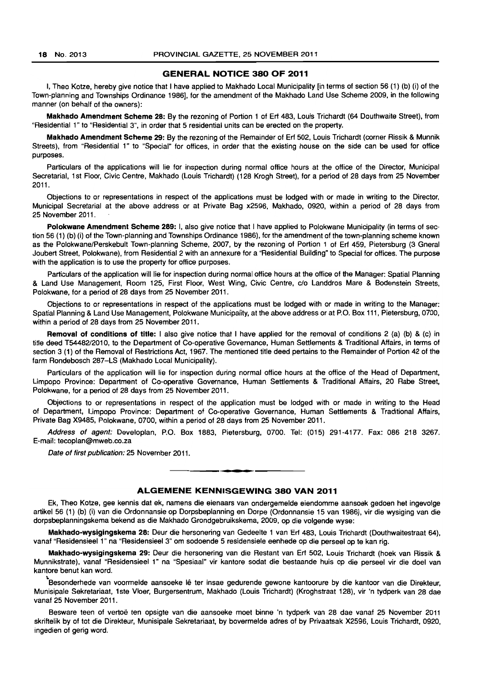#### GENERAL NOTICE 380 OF 2011

I, Theo Kotze, hereby give notice that I have applied to Makhado Local Municipality [in terms of section 56 (1) (b) (i) of the Town-planning and Townships Ordinance 1986], for the amendment of the Makhado Land Use Scheme 2009, in the following manner (on behalf of the owners):

Makhado Amendment Scheme 28: By the rezoning of Portion 1 of Ert 483, Louis Trichardt (64 Douthwaite Street), from "Residential 1" to "Residential 3", in order that 5 residential units can be erected on the property.

Makhado Amendment Scheme 29: By the rezoning of the Remainder of Ert 502, Louis Trichardt (corner Rissik & Munnik Streets), from "Residential 1" to "Special" for offices, in order that the existing house on the side can be used for office purposes.

Particulars of the applications will lie for inspection during normal office hours at the office of the Director, Municipal Secretarial, 1st Floor, Civic Centre, Makhado (Louis Trichardt) (128 Krogh Street), for a period of 28 days from 25 November 2011.

Objections to or representations in respect of the applications must be lodged with or made in writing to the Director, Municipal Secretarial at the above address or at Private Bag x2596, Makhado, 0920, within a period of 28 days from 25 November 2011.

Polokwane Amendment Scheme 289: I, also give notice that I have applied to Polokwane Municipality (in terms of section 56 (1) (b) (i) of the Town-planning and Townships Ordinance 1986), for the amendment of the town-planning scheme known as the Polokwane/Perskebult Town-planning Scheme, 2007, by the rezoning of Portion 1 of Erf 459, Pietersburg (3 Gneral Joubert Street, Polokwane), from Residential 2 with an annexure for a "Residential Building" to Special for offices. The purpose with the application is to use the property for office purposes.

Particulars of the application will lie for inspection during normal office hours at the office of the Manager: Spatial Planning & Land Use Management, Room 125, First Floor, West Wing, Civic Centre, c/o Landdros Mare & Bodenstein Streets, Polokwane, for a period of 28 days from 25 November 2011.

Objections to or representations in respect of the applications must be lodged with or made in writing to the Manager: Spatial Planning & Land Use Management, Polokwane Municipality, at the above address or at P.O. Box 111, Pietersburg, 0700, within a period of 28 days from 25 November 2011.

Removal of conditions of title: I also give notice that I have applied for the removal of conditions 2 (a) (b) & (c) in title deed T5448212010, to the Department of Co-operative Governance, Human Settlements & Traditional Affairs, in terms of section 3 (1) of the Removal of Restrictions Act, 1967. The mentioned title deed pertains to the Remainder of Portion 42 of the farm Rondebosch 287-LS (Makhado Local Municipality).

Particulars of the application will lie for inspection during normal office hours at the office of the Head of Department, Limpopo Province: Department of Co-operative Governance, Human Settlements & Traditional Affairs, 20 Rabe Street, Polokwane, for a period of 28 days from 25 November 2011.

Objections to or representations in respect of the application must be lodged with or made in writing to the Head of Department, Limpopo Province: Department of Co-operative Governance, Human Settlements & Traditional Affairs, Private Bag X9485, Polokwane, 0700, within a period of 28 days from 25 November 2011.

Address of agent: Developlan, P.O. Box 1883, Pietersburg, 0700. Tel: (015) 291-4177. Fax: 086 218 3267. E-mail: tecoplan@mweb.co.za

Date of first publication: 25 November 2011.

#### ALGEMENE KENNISGEWING 380 VAN 2011

. **- .** 

Ek, Theo Kotze, gee kennis dat ek, namens die eienaars van ondergemelde eiendomme aansoek gedoen het ingevolge artikel 56 (1) (b) (i) van die Ordonnansie op Dorpsbeplanning en Dorpe (Ordonnansie 15 van 1986), vir die wysiging van die dorpsbeplanningskema bekend as die Makhado Grondgebruikskema, 2009, op die volgende wyse:

Makhado-wysiglngskema 28: Deur die hersonering van Gedeelte 1 van Ert 483, Louis Trichardt (Douthwaitestraat 64), vana' "Residensieel 1" na "Residensieel 3" om sodoende 5 residensiele eenhede op die perseel op te kan rig.

Makhado-wysigingskema 29: Deur die hersonering van die Restant van Ert 502, Louis Trichardt (hoek van Rissik & Munnikstrate), vanaf "Residensieel 1" na "Spesiaal" vir kantore sodat die bestaande huis op die perseel vir die doel van kantore benut kan word.

<u>.</u><br>Besonderhede van voormelde aansoeke lê ter insae gedurende gewone kantoorure by die kantoor van die Direkteur, Munisipale Sekretariaat, 1 ste Vloer, Burgersentrum, Makhado (Louis Trichardt) (Kroghstraat 128), vir 'n tydperk van 28 dae vanaf 25 November 2011.

Besware teen of vertoë ten opsigte van die aansoeke moet binne 'n tydperk van 28 dae vanaf 25 November 2011 skriftelik by of tot die Direkteur, Munisipale Sekretariaat, by bovermelde adres of by Privaatsak X2596, Louis Trichardt, 0920, ingedien of gerig word.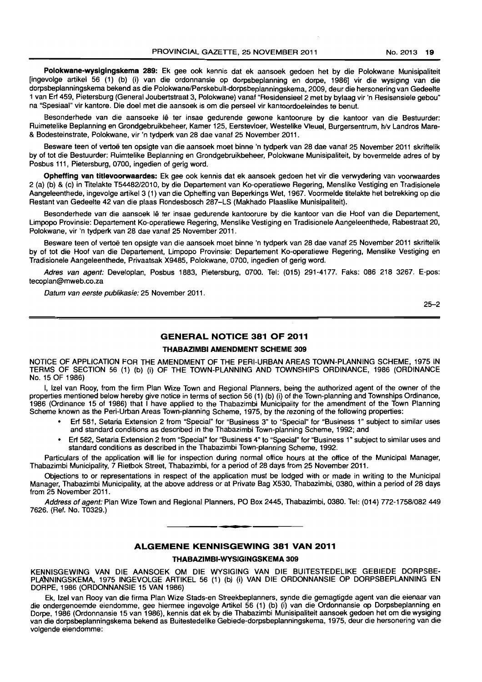Polokwane-wysigingskema 289: Ek gee ook kennis dat ek aansoek gedoen het by die Polokwane Munisipaliteit [ingevolge artikel 56 (1) (b) (i) van die ordonnansie op dorpsbeplanning en dorpe, 1986] vir die wysiging van die dorpsbeplanningskema bekend as die Polokwane/Perskebult-dorpsbeplanningskema, 2009, deur die hersonering van Gedeelte 1 van Ert 459, Pietersburg (General Joubertstraat 3, Polokwane) vanaf "Residensieel 2 met by bylaag vir 'n Resisensiele gebou" na "Spesiaal" vir kantore. Die doel met die aansoek is om die perseel vir kantoordoeleindes te benut.

Besonderhede van die aansoeke Iê ter insae gedurende gewone kantoorure by die kantoor van die Bestuurder: Ruimetelike Beplanning en Grondgebruikbeheer, Kamer 125, Eerstevloer, Westelike Vleuel, Burgersentrum, hlv Landros Mare- & Bodesleinslrate, Polokwane, vir 'n tydperk van 28 dae vanaf 25 November 2011.

Besware teen of vertoë ten opsigte van die aansoek moet binne 'n tydperk van 28 dae vanaf 25 November 2011 skriftelik by of tot die Bestuurder: Ruimtelike Beplanning en Grondgebruikbeheer, Polokwane Munisipaliteit, by bovermelde adres of by Posbus 111, Pietersburg, 0700, ingedien of gerig word.

Opheffing van titlevoorwaardes: Ek gee ook kennis dat ek aansoek gedoen het vir die verwydering van voorwaardes 2 (a) (b) & (c) in Titelakte T5448212010, by die Departement van Ko-operatiewe Regering, Menslike Vestiging en Tradisionele Aangeleenthede, ingevolge artikel 3 (1) van die Opheffing van Beperkings Wet, 1967. Voormelde titelakte het betrekking op die Restant van Gedeelte 42 van die plaas Rondesbosch 287-LS (Makhado Plaaslike Munisipaliteit).

Besonderhede van die aansoek lê ter insae gedurende kantoorure by die kantoor van die Hoof van die Departement, Limpopo Provinsie: Departement Ko-operatiewe Regering, Menslike Vestiging en Tradisionele Aangeleenthede, Rabestraat 20, Polokwane, vir 'n tydperk van 28 dae vanaf 25 November 2011.

Besware teen of vertoe ten opsigte van die aansoek moet binne 'n tydperk van 28 dae vanaf 25 November 2011 skriftelik by of tot die Hoof van die Departement, Limpopo Provinsie: Departement Ko-operatiewe Regering, Menslike Vestiging en Tradisionele Aangeleenthede, Privaatsak X9485, Polokwane, 0700, ingedien of gerig word.

Adres van agent: Developlan, Posbus 1883, Pietersburg, 0700. Tel: (015) 291-4177. Faks: 086 218 3267. E-pos: tecoplan@mweb.co.za

Datum van eerste publikasie: 25 November 2011.

25-2

#### **GENERAL NOTICE 381 OF 2011**

#### THABAZIMBI AMENDMENT SCHEME 309

NOTICE OF APPLICATION FOR THE AMENDMENT OF THE PERI-URBAN AREAS TOWN-PLANNING SCHEME, 1975 IN TERMS OF SECTION 56 (1) (b) (i) OF THE TOWN-PLANNING AND TOWNSHIPS ORDINANCE, 1986 (ORDINANCE No. 15 OF 1986)

I, Izel van Rooy, from the firm Plan Wize Town and Regional Planners, being the authorized agent of the owner of the properties mentioned below hereby give notice in terms of section 56 (1) (b) (i) of the Town-planning and Townships Ordinance, 1986 (Ordinance 15 of 1986) that I have applied to the Thabazimbi Municipality for the amendment of the Town Planning Scheme known as the Peri-Urban Areas Town-planning Scheme, 1975, by the rezoning of the following properties:

- Erf 581, Setaria Extension 2 from "Special" for "Business 3" to "Special" for "Business 1" subject to similar uses and standard conditions as described in the Thabazimbi Town-planning Scheme, 1992; and
- Erf 582, Setaria Extension 2 from "Special" for "Business 4" to "Special" for "Business 1" subject to similar uses and standard conditions as described in the Thabazimbi Town-planning Scheme, 1992.

Particulars of the application will lie for inspection during normal office hours at the office of the Municipal Manager, Thabazimbi Municipality, 7 Rietbok Street, Thabazimbi, for a period of 28 days from 25 November 2011.

Objections to or representations in respect of the application must be lodged with or made in writing to the Municipal Manager, Thabazimbi Municipality, at the above address or at Private Bag X530, Thabazimbi, 0380, within a period of 28 days from 25 November 2011.

Address of agent: Plan Wize Town and Regional Planners, PO Box 2445, Thabazimbi, 0380. Tel: (014) 772-1758/082 449 7626. (Ref. No. T0329.)

**• •** 

# **ALGEMENE KENNISGEWING 381 VAN 2011**

#### THABAZIMBI-WYSIGINGSKEMA 309

KENNISGEWING VAN DIE AANSOEK OM DIE WYSIGING VAN DIE BUITESTEDELIKE GEBIEDE DORPSBE-PLANNINGSKEMA, 1975 INGEVOLGE ARTIKEL 56 (1) (b) (i) VAN DIE ORDONNANSIE OP DORPSBEPLANNING EN DORPE, 1986 (ORDONNANSIE 15 VAN 1986)

Ek, Izel van Rooy van die firma Plan Wize Stads-en Streekbeplanners, synde die gemagtigde agent van die eienaar van die ondergenoemde eiendomme, gee hiermee ingevolge Artikel 56 (1) (b) (i) van die Ordonnansie op Dorpsbeplanning en Dorpe. 1986 (Ordonnansie 15 van 1986), kennis dat ek by die Thabazimbi Munisipaliteit aansoek gedoen het om die wysiging van die dorpsbeplanningskema bekend as Buitestedelike Gebiede-dorpsbeplanningskema, 1975, deur die hersonering van die volgende eiendomme: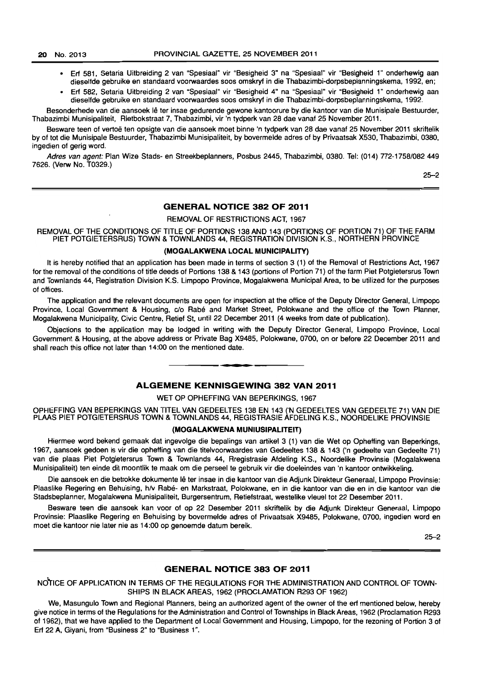- Erf 581, Setaria Uitbreiding 2 van "Spesiaal" vir "Besigheid 3" na "Spesiaal" vir "Besigheid 1" onderhewig aan dieselfde gebruike en standaard voorwaardes soos omskryf in die Thabazimbi-dorpsbeplanningskema, 1992, en;
- Erf 582, Setaria Uitbreiding 2 van "Spesiaal" vir "Besigheid 4" na "Spesiaal" vir "Besigheid 1" onderhewig aan dieselfde gebruike en standaard voorwaardes soos omskryf in die Thabazimbi-dorpsbeplanningskema, 1992.

Besonderhede van die aansoek lê ter insae gedurende gewone kantoorure by die kantoor van die Munisipale Bestuurder. Thabazimbi Munisipaliteit, Rietbokstraat 7, Thabazimbi, vir 'n tydperk van 28 dae vanaf 25 November 2011.

Besware teen of vertoë ten opsigte van die aansoek moet binne 'n tydperk van 28 dae vanaf 25 November 2011 skriftelik by of tot die Munisipale Bestuurder, Thabazimbi Munisipaliteit, by bovermelde adres of by Privaatsak X530, Thabazimbi, 0380, ingedien of gerig word.

Adres van agent: Plan Wize Stads- en Streekbeplanners, Posbus 2445, Thabazimbi, 0380. Tel: (014) 772-1758/082 449 7626. (Verw No. T0329.)

25-2

#### **GENERAL NOTICE 382 OF 2011**

REMOVAL OF RESTRICTIONS ACT, 1967

REMOVAL OF THE CONDITIONS OF TITLE OF PORTIONS 138 AND 143 (PORTIONS OF PORTION 71) OF THE FARM PIET POTGIETERSRUS) TOWN & TOWNLANDS 44, REGISTRATION DIVISION K.S., NORTHERN PROVINCE

#### **(MOGALAKWENA LOCAL MUNICIPALITY)**

It is hereby notified that an application has been made in terms of section 3 (1) of the Removal of Restrictions Act, 1967 for the removal of the conditions of title deeds of Portions 138 & 143 (portions of Portion 71) of the farm Piet Potgietersrus Town and Townlands 44, Registration Division K.S. Limpopo Province, Mogalakwena Municipal Area, to be utilized for the purposes of offices.

The application and the relevant documents are open for inspection at the office of the Deputy Director General, Limpopo Province, Local Government & Housing, c/o Rabé and Market Street. Polokwane and the office of the Town Planner, Mogalakwena Municipality, Civic Centre, Retief St. until 22 December 2011 (4 weeks from date of publication).

Objections to the application *may* be lodged in writing with the Deputy Director General, Limpopo Province, Local Government & Housing, at the above address or Private Bag X9485 , Polokwane, 0700, on or before 22 December 2011 and shall reach this office not later than 14:00 on the mentioned date. . **- .** 

## **ALGEMENE KENNISGEWING 382 VAN 2011**

#### WET OP OPHEFFING VAN BEPERKINGS, 1967

OPHEFFING VAN BEPERKINGS VAN TITEL VAN GEDEELTES 138 EN 143 ('N GEDEELTES VAN GEDEELTE 71) VAN DIE PLAAS PIET POTGIETERSRUS TOWN & TOWNLANDS 44, REGISTRASIE AFDELING K.S., NOORDELIKE PROVINSIE

#### **(MOGALAKWENA MUNIUSIPALITEIT)**

Hiermee word bekend gemaak dat ingevolge die bepalings van artikel 3 (1) van die Wet op Opheffing van Beperkings, 1967, aansoek gedoen is vir die opheffing van die titelvoorwaardes van Gedeeltes 138 & 143 *Cn* gedeelte van Gedeelte 71) van die plaas Piet Potgietersrus Town & Townlands 44, Rregistrasie Afdeling K.S., Noordelike Provinsie (Mogalakwena Munisipaliteit) ten einde dit moontlik te maak am die perseel te gebruik vir die doeleindes van 'n kantoor ontwikkeling.

Die aansoek en die betrokke dokumente lê ter insae in die kantoor van die Adjunk Direkteur Generaal, Limpopo Provinsie: Plaaslike Regering en Behuising, h/v Rabé- en Markstraat, Polokwane, en in die kantoor van die en in die kantoor van die Stadsbeplanner, Mogalakwena Munisipaliteit, Burgersentrum, Retiefstraat, westelike vleuel tot 22 Desember 2011 .

Besware teen die aansoek kan voor of op 22 Desember 2011 skriftelik by die Adjunk Direkteur Generaal, Limpopo Provinsie: Plaaslike Regering en Behuising by bovermelde adres of Privaatsak X9485, Polokwane, 0700, ingedien word en moet die kantoor nie later nie as 14:00 op genoemde datum bereik.

25-2

#### **GENERAL NOTICE 383 OF 2011**

Nd'rICE OF APPLICATION IN TERMS OF THE REGULATIONS FOR THE ADMINISTRATION AND CONTROL OF TOWN-SHIPS IN BLACK AREAS, 1962 (PROCLAMATION R293 OF 1962)

We, Masungulo Town and Regional Planners, being an authorized agent of the owner of the erf mentioned below, hereby give notice in terms of the Regulations for the Administration and Control of Townships in Black Areas, 1962 (Proclamation R293 of 1962), that we have applied to the Department of Local Government and Housing, Limpopo, for the rezoning of Portion 3 of Erf 22 A. Giyani, from "Business 2" to "Business 1 ".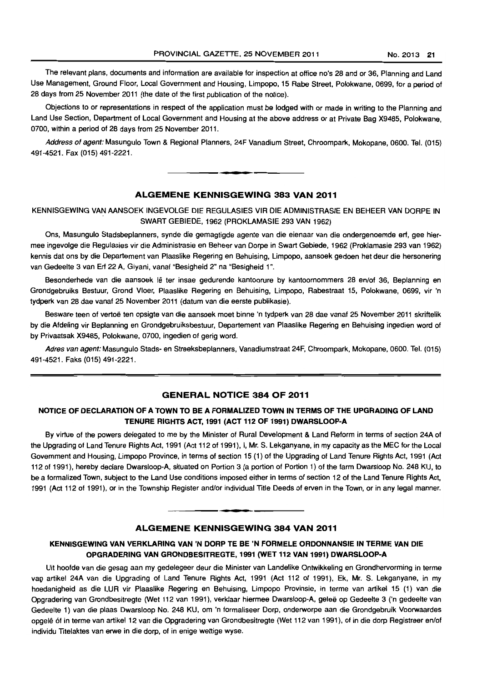The relevant plans, documents and information are available for inspection at office no's 28 and or 36. Planning and Land Use Management, Ground Floor, Local Government and Housing, Limpopo, 15 Rabe Street, Polokwane, 0699, for a period of 28 days from 25 November 2011 (the date of the first publication of the notice).

Objections to or representations in respect of the application must be lodged with or made in writing to the Planning and Land Use Section, Department of Local Government and Housing at the above address or at Private Bag X9485, Polokwane. 0700, within a period of 28 days from 25 November 2011.

Address of agent: Masungulo Town & Regional Planners. 24F Vanadium Street, Ghroompark, Mokopane, 0600. Tel. (015) 491-4521. Fax (015) 491-2221.

## ALGEMENE KENNISGEWING 383 VAN 2011

**• I** 

KENNISGEWING VAN AANSOEK INGEVOLGE DIE REGULASIES VIR DIE ADMINISTRASIE EN BEHEER VAN DORPE IN SWART GEBIEDE, 1962 (PROKLAMASIE 293 VAN 1962)

Ons, Masungulo Stadsbeplanners, synde die gemagtigde agente van die eienaar van die ondergenoemde erl. gee hiermee ingevolge die Regulasies vir die Administrasie en Beheer van Dorpe in Swart Gebiede, 1962 (Proklamasie 293 van 1962) kennis dat ons by die Departement van Plaaslike Regering en Behuising, Limpopo, aansoek gedoen het deur die hersonering van Gedeelte 3 van Erf 22 A, Giyani, vanaf "Besigheid 2" na "Besigheid 1".

Besonderhede van die aansoek lê ter insae gedurende kantoorure by kantoornommers 28 en/of 36, Beplanning en Grondgebruiks Bestuur, Grond Vloer, Plaaslike Regering en Behuising, Limpopo. Rabestraat 15, Polokwane, 0699. vir 'n tydperk van 28 dae vanaf 25 November 2011 (datum van die eerste publikasie).

Besware teen of vertoe ten opsigte van die aansoek moet binne 'n tydperk van 28 dae vanaf 25 November 2011 skriftelik by die Afdeling vir Beplanning en Grondgebruiksbestuur. Departement van Plaaslike Regering en Behuising ingedien word of by Privaatsak X9485, Polokwane, 0700. ingedien of gerig word.

Adres van agent: Masungulo Stads- en Streeksbeplanners, Vanadiumstraat 24F, Ghroompark. Mokopane. 0600. Tel. (015) 491-4521. Faks (015) 491-2221.

#### GENERAL NOTICE 384 OF 2011

# NOTICE OF DECLARATION OF A TOWN TO BE A FORMALIZED TOWN IN TERMS OF THE UPGRADING OF LAND TENURE RIGHTS ACT, 1991 (ACT 112 OF 1991) DWARSLOOP-A

By virtue of the powers delegated to me by the Minister of Rural Development & Land Reform in terms of section 24A of the Upgrading of Land Tenure Rights Act. 1991 (Act 112 of 1991), I. Mr. S. Lekganyane. in my capacity as the MEG for the Local Government and Housing, Limpopo Province, in terms of section 15 (1) of the Upgrading of Land Tenure Rights Act. 1991 (Act 112 of 1991). hereby declare Dwarsloop-A, situated on Portion 3 (a portion of Portion 1) of the farm Dwarsloop No. 248 KU, to be a formalized Town, subject to the Land Use conditions imposed either in terms of section 12 of the Land Tenure Rights Act, 1991 (Act 112 of 1991). or in the Township Register and/or individual Title Deeds of erven in the Town, or in any legal manner.

#### ALGEMENE KENNISGEWING 384 VAN 2011

-**-.** 

#### KENNISGEWING VAN VERKLARING VAN 'N DORP TE BE 'N FORMELE ORDONNANSIE IN TERME VAN DIE OPGRADERING VAN GRONDBESITREGTE, 1991 (WET 112 VAN 1991) DWARSLOOP-A

Uit hoofde van die gesag aan my gedelegeer deur die Minister van Landelike Ontwikkeling en Grondhervorming in terme vag artike! 24A van die Upgrading of Land Tenure Rights Act, 1991 (Act 112 of 1991), Ek, Mr. S. Lekganyane, in my hoedanigheid as die LUR vir Plaaslike Regering en Behuising, Limpopo Provinsie, in terme van artikel 15 (1) van die Opgradering van Grondbesitregte (Wet 112 van 1991), verklaar hiermee Dwarsloop-A, gelee op Gedeelte 3 ('n gedeelte van Gedeelte 1) van die plaas Dwarsloop No. 248 KU, om 'n tormaliseer Dorp, onderworpe aan die Grondgebruik Voorwaardes opgelê óf in terme van artikel 12 van die Opgradering van Grondbesitregte (Wet 112 van 1991), of in die dorp Registreer en/of individu Titelaktes van erwe in die dorp. of in enige wettige wyse.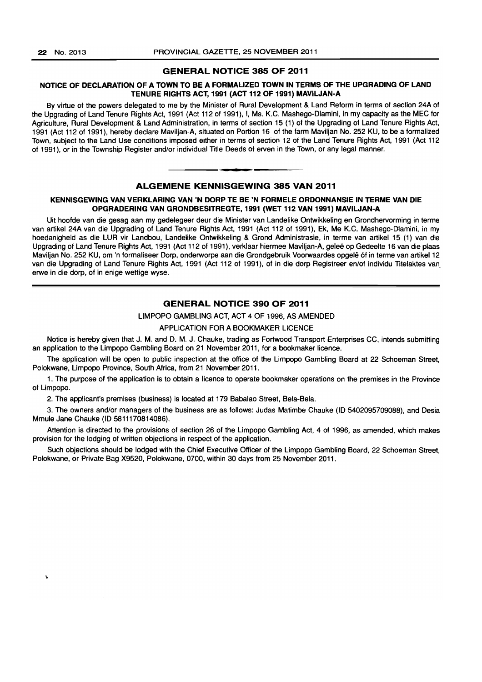t

#### GENERAL NOTICE 385 OF 2011

#### NOTICE OF DECLARATION OF A TOWN TO BE A FORMALIZED TOWN IN TERMS OF THE UPGRADING OF LAND TENURE RIGHTS ACT, 1991 (ACT 112 OF 1991) MAVILJAN-A

By virtue of the powers delegated to me by the Minister of Rural Development & Land Reform in terms of section 24A of the Upgrading of Land Tenure Rights Act, 1991 (Act 112 of 1991), I, Ms. K.C. Mashego-Dlamini, in my capacity as the MEC for Agriculture, Rural Development & Land Administration, in terms of section 15 (1) of the Upgrading of Land Tenure Rights Act, 1991 (Act 112 of 1991), hereby declare Maviljan-A, situated on Portion 16 of the farm Maviljan No. 252 KU, to be a formalized Town, subject to the Land Use conditions imposed either in terms of section 12 of the Land Tenure Rights Act, 1991 (Act 112 of 1991), or in the Township Register and/or individual Title Deeds of erven in the Town, or any legal manner. **-.** 

#### ALGEMENE KENNISGEWING 385 VAN 2011

#### KENNISGEWING VAN VERKLARING VAN 'N DORP TE BE 'N FORMELE ORDONNANSIE IN TERME VAN DIE OPGRADERING VAN GRONDBESITREGTE, 1991 (WET 112 VAN 1991) MAVILJAN-A

Uit hoofde van die gesag aan my gedelegeer deur die Minister van Landelike Ontwikkeling en Grondhervorming in terme van artikel 24A van die Upgrading of Land Tenure Rights Act, 1991 (Act 112 of 1991), Ek, Me K.C. Mashego-Dlamini, in my hoedanigheid as die LUR vir Landbou, Landelike Ontwikkeling & Grond Administrasie, in terme van artikel 15 (1) van die Upgrading of Land Tenure Rights Act, 1991 (Act 112 of 1991), verklaar hiermee Maviljan-A, gelee op Gedeelte 16 van die plaas Maviljan No. 252 KU, om 'n formaliseer Dorp, onderworpe aan die Grondgebruik Voorwaardes opgele 6f in terme van artikel12 van die Upgrading of Land Tenure Rights Act, 1991 (Act 112 of 1991), of in die dorp Registreer en/of individu Titelaktes van. erwe in die dorp, of in enige wettige wyse.

#### GENERAL NOTICE 390 OF 2011

#### LIMPOPO GAMBLING ACT, ACT 4 OF 1996, AS AMENDED

#### APPLICATION FOR A BOOKMAKER LICENCE

Notice is hereby given that J. M. and D. M. J. Chauke, trading as Fortwood Transport Enterprises CC, intends submitting an application to the Limpopo Gambling Board on 21 November 2011, for a bookmaker licence.

The application will be open to public inspection at the office of the Limpopo Gambling Board at 22 Schoeman Street, Polokwane, Limpopo Province, South Africa, from 21 November 2011.

1. The purpose of the application is to obtain a licence to operate bookmaker operations on the premises in the Province of Limpopo.

2. The applicant's premises (business) is located at 179 Babalao Street, Bela-Bela.

3. The owners and/or managers of the business are as follows: Judas Matimbe Chauke (ID 5402095709088), and Desia Mmule Jane Chauke (ID 5811170814086).

Attention is directed to the provisions of section 26 of the Limpopo Gambling Act, 4 of 1996, as amended, which makes provision for the lodging of written objections in respect of the application.

Such objections should be lodged with the Chief Executive Officer of the Limpopo Gambling Board, 22 Schoeman Street, Polokwane, or Private Bag X9520, Polokwane, 0700, within 30 days from 25 November 2011.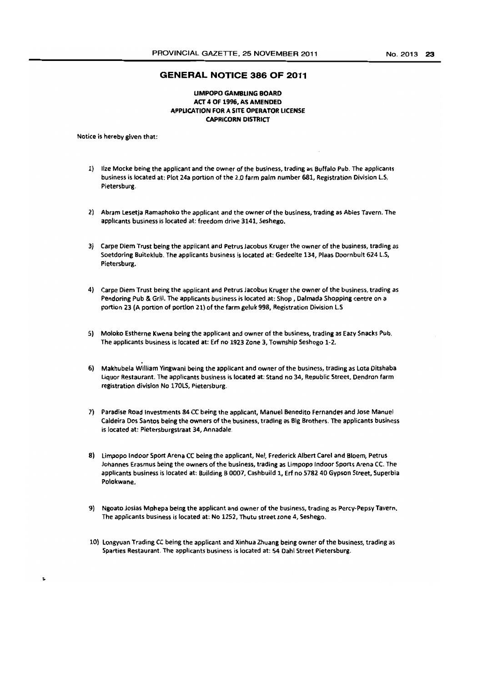#### GENERAL NOTICE 386 OF 2011

#### UMPOPO GAMSlING BOARD ACT 4 Of 1996. AS AMENDED APPUCATION FOR A SITE OPERATOR UCENSE CAPRICORN DISTRICT

Notice is hereby given that:

- 1) Ilze Mocke being the applicant and the owner of the business, trading as Buffalo Pub. The applicants business is located at: Plot 24a portion of the 2.0 farm palm number 681, Registration Division LS. Pietersburg.
- 2) Abram lesetja Ramaphoko the applicant and the owner of the business, trading as Abies Tavern. The applicants business is located at: freedom drive 3141, Seshego.
- 3) Carpe Diem Trust being the applicant and Petrus jacobus Kruger the owner of the business, trading as Soetdoring Buiteklub. The applicants business is located at: Gedeelte 134, Plaas Doornbult 624 L.S, Pietersburg.
- 4) Carpe Diem Trust being the applicant and Petrus Jacobus Kruger the owner of the business, trading as Pendoring Pub & Grill. The applicants business is located at: Shop, Dalmada Shopping centre on a portion 23 (A portion of portion 21) of the farm geluk 998, Registration Division LS
- 5) Moloko Estherne Kwena being the applicant and owner of the business, trading as Eazy Snacks Pub. The applicants business is located at: Erf no 1923 Zone 3, Township Seshego 1-2.
- 6) Makhubela William Yingwani being the applicant and owner of the business, trading as Lota Ditshaba Liquor Restaurant. The applicants business is located at: Stand no 34, Republic Street, Dendron farm registration division No 170LS, Pietersburg.
- 7) Paradise Road Investments 84 CC being the applicant, Manuel Benedlto Fernandes and Jose Manuel Caldeira Dos Santos being the owners of the business, trading as Big Brothers. The applicants business is located at: Pietersburgstraat 34, Annadale.
- 8) limpopo Indoor Sport Arena CC being the applicant, Nel, Frederick Albert Carel and Bloem, Petrus Johannes Erasmus being the owners of the business, trading as limpopo Indoor Sports Arena CC. The applicants business is located at: Building B 0007, Cashbuild 1, Eft no 5782 40 Gypson Street, Superbia Polokwane.
- 9) Ngoato Josias Mphepa being the applicant and owner of the business, trading as Percy-Pepsy Tavern. The applicants business is located at: No 1252, Thutu street zone 4, Sesnego.
- 10) Longyuan Trading CC being the applicant and Xinhua Zhuang being owner of the business, trading as Sparties Restaurant. The applicants business is located at: 54 Dahl Street Pietersburg.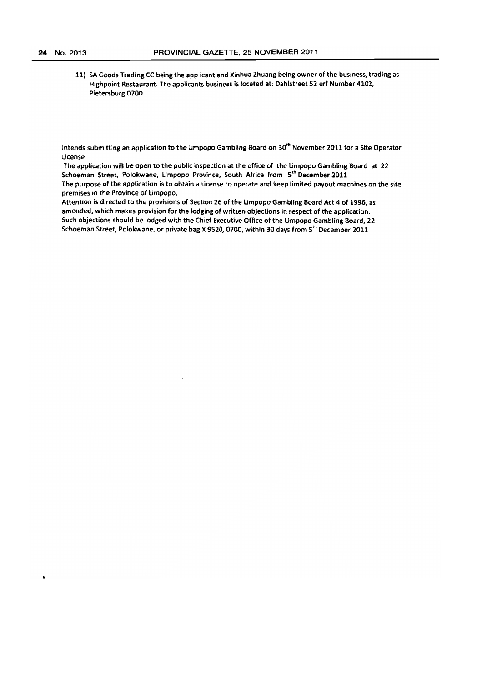11) SA Goods Trading CC being the applicant and Xinhua Zhuang being owner of the business, trading as Highpoint Restaurant. The applicants business is located at: Dahlstreet 52 erf Number 4102, Pietersburg 0700

Intends submitting an application to the Limpopo Gambling Board on 30<sup>th</sup> November 2011 for a Site Operator license

The application will be open to the public inspection at the office of the Limpopo Gambling Board at 22 Schoeman Street, Polokwane, Limpopo Province, South Africa from 5<sup>th</sup> December 2011 The purpose of the application is to obtain a license to operate and keep limited payout machines on the site premises in the Province of limpopo.

Attention is directed to the provisions of Section 26 of the limpopo Gambling Board Act 4 of 1996, as amended, which makes provision for the lodging of written objections in respect of the application. Such objections should be lodged with the Chief Executive Office of the limpopo Gambling Board, 22 Schoeman Street, Polokwane, or private bag X 9520, 0700, within 30 days from 5<sup>th</sup> December 2011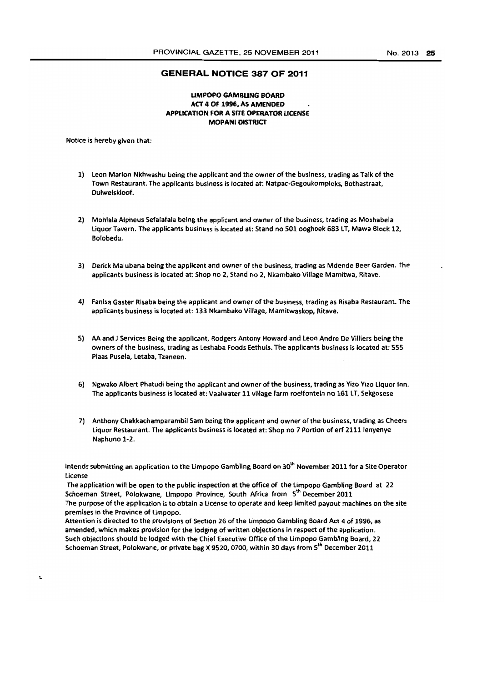#### **GENERAL NOTICE 387 OF 2011**

#### UMPOPO GAMBUNG BOARD ACT 4 Of 1996, AS AMENDED APPUCATION FOR A SITe OPERATOR LICENSE MOPANI DISTRICT

Notice is hereby given that:

Ł

- 1) leon Marlon Nkhwashu being the applicant and the owner of the business, trading as Talk of the Town Restaurant. The applicants business is located at; Natpac-Gegoukompleks, Bothastraat, Duiwelskloof.
- 2) Mohlala Alpheus Sefalafala being the applicant and owner of the business, trading as Moshabela Liquor Tavern, The applicants business is located at: Stand no 501 ooghoek 683 LT, Mawa Block 12, Bolobedu.
- 3) Derick Malubana being the applicant and owner of the business, trading as Mdende Beer Garden. The applicants business is located at: Shop no 2. Stand no 2, Nkambako Village Mamitwa, Ritave.
- 4) Fanisa Gaster Risaba being the applicant and owner of the business, trading as Risaba Restaurant. The applicants business is located at: 133 Nkambako Village, Mamitwaskop, Ritave.
- 5) AA and J Services Being the applicant, Rodgers Antony Howard and Leon Andre De Villiers being the owners of the business, trading as Leshaba Foods Eethuis. The applicants business is located at: 555 Plaas Pusela, letaba, Tzaneen.
- 6) Ngwako Albert Phatudi being the applicant and owner of the business, trading as Vizo Vizo liquor Inn. The applicants business is located at: Vaalwater 11 village farm roelfonteln no 161LT, Sekgosese
- 7) Anthony Chakkachamparambil Sam being the applicant and owner of the business, trading as Cheers Liquor Restaurant. The applicants business is located at: Shop no 7 Portion of erf 2111 lenyenye Naphuno 1-2.

Intends submitting an application to the Limpopo Gambling Board on 30<sup>th</sup> November 2011 for a Site Operator license

The application will be open to the public inspection at the office of the limpopo Gambling Board at 22 Schoeman Street, Polokwane, Limpopo Province, South Africa from 5<sup>th</sup> December 2011 The purpose of the application is to obtain a license to operate and keep limited payout machines on the site premises in the Province of limpopo.

Attention is directed to the provisions of Section 26 of the Limpopo Gambling Board Act 4 of 1996, as amended. which makes provision for the lodging of written objections in respect of the application. Such objections should be lodged with the Chief Executive Office of the limpopo Gambling Board, 22 Schoeman Street, Polokwane, or private bag X 9520, 0700, within 30 days from 5<sup>th</sup> December 2011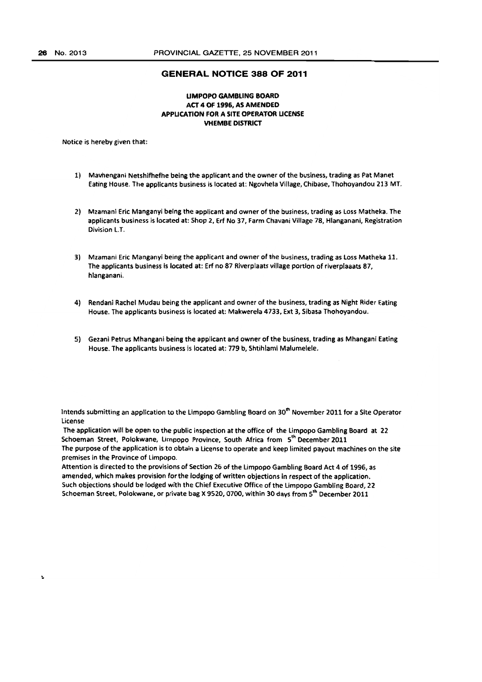#### **GENERAL NOTICE 388 OF 2011**

#### **UMPOPO GAMBLING BOARD ACT 4 OF 1996, AS AMENDED APPUCATION FOR A SITE OPERATOR UCENSE VHEMBE DISTRICT**

Notice is hereby given that:

- 1) Mavhengani Netshifhefhe being the applicant and the owner of the business, trading as Pat Manet Eating House. The applicants business is located at: Ngovhe!a Village, Chibase, Thohoyandou 213 MT.
- 2) Mzamanl Eric Manganyi being the applicant and owner of the business. trading as loss Matheka. The applicants business is located at: Shop 2. Erf No 37, Farm Chavani Village 78, Hlanganani. Registration Division L.T.
- 3) Mzamani Eric Manganyi being the applicant and owner of the business, trading as loss Matheka 11. The applicants business is located at: Erf no 87 Riverplaats village portion of riverplaaats 87, hlanganani.
- 4) Rendanl Rachel Mudau being the applicant and owner of the business, trading as Night Rider Eating House. The applicants business is located at: Makwerela 4733, Ext 3, Sibasa Thohoyandou.
- 5) Gezani Petrus Mhangani being the applicant and owner of the business, trading as Mhangani Eating House. The applicants business is located at: 779 h, Shtihlaml Malumelele.

Intends submitting an application to the Limpopo Gambling Board on 30<sup>th</sup> November 2011 for a Site Operator License

The application will be open to the public inspection at the office of the limpopo Gambling Board at 22 Schoeman Street, Polokwane, limpopo Province, South Africa from 5'" December 2011 The purpose of the application is to obtain a License to operate and keep limited payout machines on the site premises in the Province of limpopo.

Attention is directed to the provisions of Section 26 of the limpopo Gambling Board Act 4 of 1996, as amended, which makes provision for the lodging of written objections in respect of the application. Such objections should be lodged with the Chief Executive Office of the Limpopo Gambling Board, 22 Schoeman Street, Polokwane, or private bag X 9520, 0700, within 30 days from 5<sup>th</sup> December 2011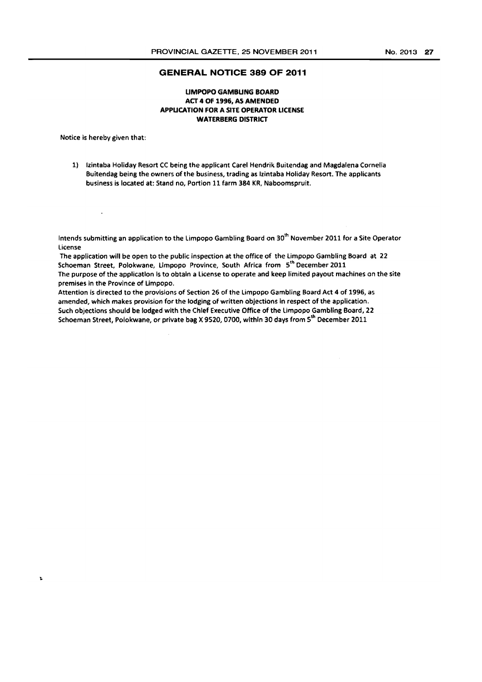#### **GENERAL NOTICE 389 OF 2011**

### UMPOPO GAMBUNG BOARD ACT 4 Of 1996. AS AMENDED APPUCATION FOR A SITE OPERATOR LICENSE WATERBERG DISTRICT

Notice is hereby given that:

 $\Delta$ 

 $\mathbf{r}$ 

1) Izintaba Holiday Resort CC being the applicant Carel Hendrik Buitendag and Magdalena Comelia Buitendag being the owners of the business, trading as Izintaba Holiday Resort. The applicants business is located at: Stand no, Portion 11 farm 384 KR, Naboomspruit.

Intends submitting an application to the Limpopo Gambling Board on 30<sup>th</sup> November 2011 for a Site Operator License

The application will be open to the public inspection at the office of the limpopo Gambling Board at 22 Schoeman Street, Polokwane, Limpopo Province, South Africa from 5<sup>th</sup> December 2011 The purpose of the application is to obtain a license to operate and keep limited payout machines on the site premises in the Province of Limpopo.

Attention is directed to the provisions of Section 26 of the Limpopo Gambling Board Act 4 of 1996, as amended, which makes provision for the lodging of written objections in respect of the application. Such objections should be lodged with the Chief Executive Office of the limpopo Gambling Board, 22 Schoeman Street, Polokwane, or private bag X 9520, 0700, within 30 days from 5<sup>th</sup> December 2011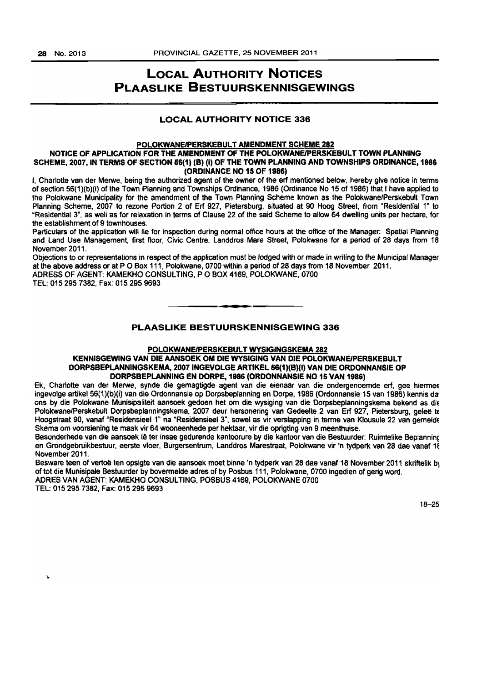# LOCAL AUTHORITY NOTICES PLAASLIKE BESTUURSKENNISGEWINGS

# LOCAL AUTHORITY NOTICE 336

#### POLOKWANE/PERSKEBULT AMENDMENT SCHEME 282 NOTICE OF APPLICATION FOR THE AMENDMENT OF THE POLOKWANEIPERSKEBULT TOWN PLANNING SCHEME, 2007, IN TERMS OF SECTION 66(1) (B) (I) OF THE TOWN PLANNING AND TOWNSHIPS ORDINANCE, 1986 (ORDINANCE NO 15 OF 1986)

I, Charlotte van der Merwe, being the authorized agent of the owner of the erf mentioned below, hereby give notice in terms of section 56(1)(b)(i) of the Town Planning and Townships Ordinance. 1986 (Ordinance No 15 of 1986) that I have applied to the Polokwane Municipality for the amendment of the Town Planning Scheme known as the PolokwanefPerskebult Town Planning Scheme, 2007 to rezone Portion 2 of Erf 927, Pietersburg, situated at 90 Hoog Street, from "Residential 1" to ~Residential 3", as well as for relaxation in terms of Clause 22 of the said Scheme to allow 64 dwelling units per hectare, for the establishment of 9 townhouses.

Particulars of the application will lie for inspection during normal office hours at the office of the Manager: Spatial Planning and Land Use Management, first floor, Civic Centre, landdros Mare Street, Polokwane for a period of 28 days from 16 November 2011.

Objections to or representations in respect of the application must be lodged with or made in writing to the Municipal Manager at the above address or at P O Box 111, Polokwane, 0700 within a period of 28 days from 18 November 2011. ADRESS OF AGENT: KAMEKHO CONSULTING, POBOX 4169, POlOKWANE, 0700

TEL: 0152957382, Fax: 015 295 9693

# PLAASLIKE BESTUURSKENNISGEWING 336

**•** 

#### POLOKWANEIPERSKEBULT WYSIGINGSKEMA 282

#### KENNISGEWlNG VAN DIE AANSOEK OM DIE WYStGING VAN DIE POLOKWANEIPERSKEBULT DORPSBEPLANNINGSKEMA, 2007 INGEVOLGE ARTIKEL 56(1)(B)(I) VAN DIE ORDONNANSIE OP DORPSBEPLANNING EN DORPE, 1986 (ORDONNANSIE NO 15 VAN 1986)

Ek, Charlotte van der Merwe, synde die gemagtigde agent van die eienaar van die ondergenoemde erf, gee hiermee ingevolge artikel 56(1)(b)(i) van die Ordonnansie op Dorpsbeplanning en Dorpe, 1986 (Ordonnansie 15 van 1986) kennis da ons by die Polokwane Munisipaliteit aansoek gedoen het om die wysiging van die Dorpsbeplanningskema bekend as die Polokwane/Perskebult Dorpsbeplanningskema, 2007 deur hersonering van Gedeelte 2 van Erf 927, Pietersburg, geleë te Hoogstraat 90, vanaf "Residensieel 1" na "Residensieel 3", sowel as vir verslapping in terme van Klousule 22 van gemelde Skema om voorsiening te maak vir 64 wooneenhede per hektaar, vir die oprigting van 9 meenthuise.

Besonderhede van die aansoek lê ter insae gedurende kantoorure by die kantoor van die Bestuurder: Ruimtelike Beplanning en Grondgebruikbestuur, eerste vloer, Burgersentrum, Landdros Marestraat, Polokwane vir 'n tydperk van 28 dae vanaf 18 November 2011.

Besware teen of vertoë ten opsigte van die aansoek moet binne 'n tydperk van 28 dae vanaf 18 November 2011 skriftelik by of tot die Munisipale Bestuurder by bovermelde adres of by Posbus 111> Polokwane, 0700 ingedien of geng word. ACRES VAN AGENT: KAMEKHO CONSULTING, POSBUS 4169, POlOKWANE 0700

TEL: 0152957382, Fax: 0152959693

 $\mathbf{r}$ 

18-25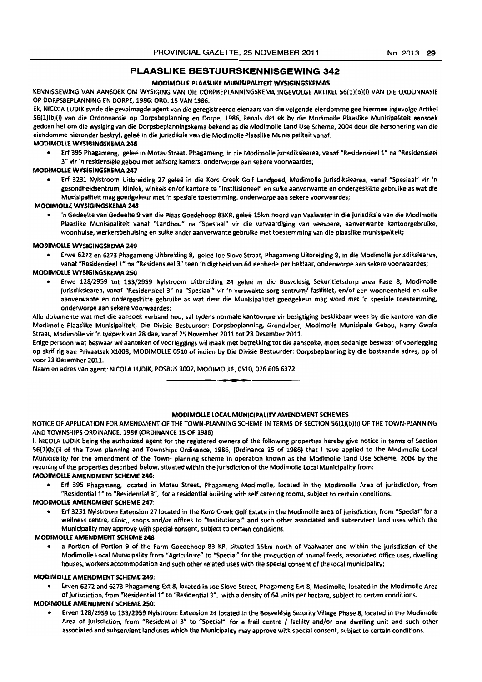# **PLAASLIKE BESTUURSKENNISGEWING 342**

#### MODIMOLLE PLAASLIKE MUNISIPALITEIT WYSIGINGSKEMAS

KENNISGEWING VAN AANSOEK OM WYSIGING VAN DIE DORPBEPLANNINGSKEMA INGEVOLGE ARTIKEL 56(1)(b)(i) VAN DIE ORDONNASIE OP OORPS8EPLANNING EN OORPE, 1986: ORO. 15 VAN 1986.

Ek, NICOLA LUOIK synde die gevolmagde agent van die gereglstreerde eienaars van die vo/gende eiendomme gee hiermee ingevolge Artikel S6(1)(b}(i) van die Ordonnansie op Dorpsbeplanning en Dorpe, 1986, kennis dat ek by die Modimolle Plaaslike Munisipaliteit aanseek gedoen het om die wysiging van die Dorpsbeplanningskema bekend as die Modlmolle land Use Scheme, 2004 deur die hersonering van die eiendomme hieronder beskryf, geleë in die jurisdiksie van die Modimolle Plaaslike Munisipallteit vanaf:

#### MODIMOLLE WYSIGINGSKEMA 246

Erf 395 Phagameng, geleë in Motau Straat, Phagameng, in die Modimolle jurisdiksiearea, vanaf "Residensieel 1" na "Residensieel 3" vir 'n residensiële gebou met selfsorg kamers, onderworpe aan sekere voorwaardes;

#### MODIMOLLE WYSIGINGSKEMA 247

Erf 3231 Nylstroom Uitbreiding 27 geleë in die Koro Creek Golf Landgoed, Modimolle jurisdiksiearea, vanaf "Spesiaal" vir 'n gesondheidsentrum, kliniek, winkels en/of kantore na "Institisioneel" en sulke aanverwante en ondergeskikte gebruike as wat die Munisipaliteit mag goedgekeur met 'n spesiale toestemming, onderworpe aan sekere voorwaardes;

#### MODIMOLLE WVSIGINGSKEMA 248

'n Gedeelte van Gedeelte 9 van die Plaas Goedehoop 83KR, geleë 15km noord van Vaalwater in die jurisdiksle van die Modlmolle Plaaslike Munisipaliteit vanaf "Landbou" na "Spesiaal" vir die vervaardiging van veevoere, aanverwante kantoorgebruike, woonhuise, werkersbehuising en sulke ander aanverwante gebruike met toestemming van die plaaslike munlsipalitelt;

#### MODIMOLlE WVSIGINGSKEMA 249

• Erwe 6272 en 6273 Phagameng Uitbreiding 8, galee Joe Siovo Straat, Phagameng Uitbreiding 8, in die Modimolle jurisdiksiearea, vanaf "Residensieel 1" na "Residensieel 3" teen 'n digtheid van 64 eenhede per hektaar, onderworpe aan sekere voorwaardes;

#### MODIMOLLE WYSIGINGSKEMA 250

• Erwe 128/2959 tot 133/2959 Nylstroom Uitbreiding 24 galee in die Bosveldsig Sekuritietsdorp area Fase 8, Modimolle jurisdiksiearea, vanaf "Residensieel 3" na "Spesiaal" vir 'n verswakte sorg sentrum/ fasilitiet, en/of een wooneenheid en sulke aanverwante en ondergeskikte gebruike as wat deur die Munisipalitiet goedgekeur mag word met 'n spesiale toestemming, onderworpe aan sekere voorwaardes:

Alle dokumente wat met die aansoek verband hou, sal tydens normale kantoorure vir besigtiging beskikbaar wees by die kantore van die Modimolle Plaaslike Munisipaliteit, Die Divisle 8estuurder: Dorpsbeplanning, Grondvloer, Modimolle Munisipale Gebou, Harry Gwala Straat, Modimolle vir 'n tydperk van 28 dae, vanaf 25 November 2011 tot 23 Desember 2011.

Enige persoon wat beswaar wil aanteken of voorleggings wil maak met betrekking tot die aansoeke, moet sodanige beswaar of voorlegging op skrif rig aan Privaatsak X1008, MODIMOLLE 0510 of indien by Die Divisie Bestuurder: Dorpsbeplanning by die bostaande adres, op of voor 23 Desember 2011.

**• •** 

Naam en adres van agent: NICOLA LUDIK, POSBUS 3007, MODIMOLLE, 0510, 076 606 6372.

#### MODIMOllE lOCAL MUNICIPALITY AMENDMENT SCHEMES

NOTICE Of APPLICATION fOR AMENDMENT OF THE TOWN-PLANNING SCHEME IN TERMS OF SECTION 56(1)(b)(i) OF THE TOWN-PLANNING AND TOWNSHIPS ORDINANCE. 1986 (ORDINANCE 15 OF 1985)

I, NICOLA lUDIK being the authorized agent for the registered owners of the following properties hereby give notice in terms of Section 56(1)(b)(i) of the Town plannIng and Townships Ordinance. 1986, (Ordinance 15 of 1986) that I have applied to the Modimolle local Municipality for the amendment of the Town- planning scheme in operation known as the Modimolle Land Use Scheme, 2004 by the rezoning of the properties described below, situated within the jurisdiction of the Modlmolle local Municipality from:

#### MODIMOUE AMENDMENT SCHEME 246:

• En 395 Phagameng. located in Motau Street. Phagameng Modimolle, located In the Modlmolle Area of jurisdiction, from "Residential 1" to "Residential 3", for a residential building with self catering rooms, subject to certain conditions.

#### MODIMOUE AMENDMENT SCHEME 241:

Erf 3231 Nylstroom Extension 27 located in the Koro Creek Golf Estate in the Modimolle area of jurisdiction, from "Special" for a wellness centre, clinic,, shops and/or offices to "Institutional" and such other associated and subservient land uses which the Municipality may approve with special consent, subject to certain conditions.

#### MODlMOllE AMENDMENT SCHEME 248

a Portion of Portion 9 of the Farm Goedehoop 83 KR, situated 15km north of Vaalwater and within the jurisdiction of the Modimolle Local Municipality from "Agriculture" to "Special" for the production of animal feeds, associated office uses, dwelling houses, workers accommodation and such other related uses with the special consent of the local municipality;

#### MOJ)IMOll£ AMENDMENT SCHEME 249:

• Erven 6272 and 6273 Phagameng Ext 8, located in Joe Siovo Street, Phagameng Ext 8, Modimolle, located in the Modimolle Area of jurisdiction, from "Residential 1" to "Residential 3", with a density of 64 units per hectare, subject to certain conditions.

#### MODIMOUE AMENDMENT SCHEME 250-

Erven 128/2959 to 133/2959 Nyistroom Extension 24 located in the Bosveldsig Security Village Phase 8, located in the Modimolle Area of Jurisdiction, from "Residential 3" to "Special", for a frail centre / facility and/or one dwelling unit and such other associated and subservient land uses which the Municipality may approve with special consent, subject to certain conditions.